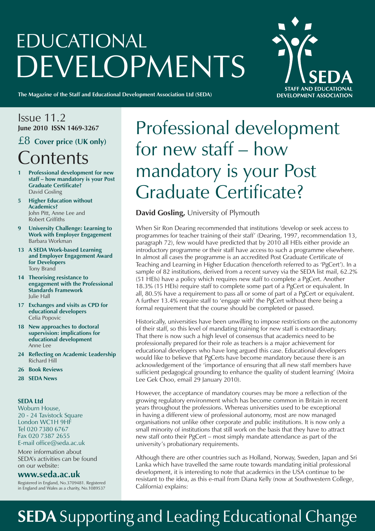# EDUCATIONAL DEVELOPMENTS

**STAFF AND FDUCATIONAL DEVELOPMENT ASSOCIATION** 

**The Magazine of the Staff and Educational Development Association Ltd (SEDA)**

#### Issue 11.2 **June 2010 ISSN 1469-3267**

### £8 **Cover price (UK only) Contents**

- **1 Professional development for new staff – how mandatory is your Post Graduate Certificate?** David Gosling
- **5 Higher Education without Academics?** John Pitt, Anne Lee and Robert Griffiths
- **9 University Challenge: Learning to Work with Employer Engagement** Barbara Workman
- **13 A SEDA Work-based Learning and Employer Engagement Award for Developers** Tony Brand
- **14 Theorising resistance to engagement with the Professional Standards Framework** Julie Hall
- **17 Exchanges and visits as CPD for educational developers** Celia Popovic
- **18 New approaches to doctoral supervision: implications for educational development** Anne Lee
- **24 Reflecting on Academic Leadership** Richard Hill
- **26 Book Reviews**
- **28 SEDA News**

#### **SEDA Ltd**

Woburn House, 20 - 24 Tavistock Square London WC1H 9HF Tel 020 7380 6767 Fax 020 7387 2655 E-mail office@seda.ac.uk

More information about SEDA's activities can be found on our website:

#### **www.seda.ac.uk**

Registered in England, No.3709481. Registered in England and Wales as a charity, No.1089537

## Professional development for new staff – how mandatory is your Post Graduate Certificate?

#### **David Gosling,** University of Plymouth

When Sir Ron Dearing recommended that institutions 'develop or seek access to programmes for teacher training of their staff' (Dearing, 1997, recommendation 13, paragraph 72), few would have predicted that by 2010 all HEIs either provide an introductory programme or their staff have access to such a programme elsewhere. In almost all cases the programme is an accredited Post Graduate Certificate of Teaching and Learning in Higher Education (henceforth referred to as 'PgCert'). In a sample of 82 institutions, derived from a recent survey via the SEDA list mail, 62.2% (51 HEIs) have a policy which requires new staff to complete a PgCert. Another 18.3% (15 HEIs) require staff to complete some part of a PgCert or equivalent. In all, 80.5% have a requirement to pass all or some of part of a PgCert or equivalent. A further 13.4% require staff to 'engage with' the PgCert without there being a formal requirement that the course should be completed or passed.

Historically, universities have been unwilling to impose restrictions on the autonomy of their staff, so this level of mandating training for new staff is extraordinary. That there is now such a high level of consensus that academics need to be professionally prepared for their role as teachers is a major achievement for educational developers who have long argued this case. Educational developers would like to believe that PgCerts have become mandatory because there is an acknowledgement of the 'importance of ensuring that all new staff members have sufficient pedagogical grounding to enhance the quality of student learning' (Moira Lee Gek Choo, email 29 January 2010).

However, the acceptance of mandatory courses may be more a reflection of the growing regulatory environment which has become common in Britain in recent years throughout the professions. Whereas universities used to be exceptional in having a different view of professional autonomy, most are now managed organisations not unlike other corporate and public institutions. It is now only a small minority of institutions that still work on the basis that they have to attract new staff onto their PgCert – most simply mandate attendance as part of the university's probationary requirements.

Although there are other countries such as Holland, Norway, Sweden, Japan and Sri Lanka which have travelled the same route towards mandating initial professional development, it is interesting to note that academics in the USA continue to be resistant to the idea, as this e-mail from Diana Kelly (now at Southwestern College, California) explains:

## **SEDA** Supporting and Leading Educational Change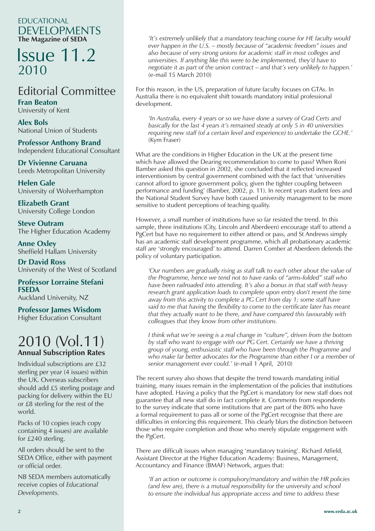#### EDUCATIONAL DEVELOPMENTS **The Magazine of SEDA**

### Issue 11.2 2010

### Editorial Committee

**Fran Beaton** University of Kent

**Alex Bols** National Union of Students

**Professor Anthony Brand** Independent Educational Consultant

**Dr Vivienne Caruana** Leeds Metropolitan University

**Helen Gale** University of Wolverhampton

**Elizabeth Grant** University College London

**Steve Outram** The Higher Education Academy

**Anne Oxley** Sheffield Hallam University

**Dr David Ross** University of the West of Scotland

**Professor Lorraine Stefani FSEDA** Auckland University, NZ

**Professor James Wisdom**

Higher Education Consultant

### 2010 (Vol.11) **Annual Subscription Rates**

Individual subscriptions are £32 sterling per year (4 issues) within the UK. Overseas subscribers should add £5 sterling postage and packing for delivery within the EU or £8 sterling for the rest of the world.

Packs of 10 copies (each copy containing 4 issues) are available for £240 sterling.

All orders should be sent to the SEDA Office, either with payment or official order.

NB SEDA members automatically receive copies of *Educational Developments.*

 *'It's extremely unlikely that a mandatory teaching course for HE faculty would ever happen in the U.S. – mostly because of "academic freedom" issues and also because of very strong unions for academic staff in most colleges and universities. If anything like this were to be implemented, they'd have to negotiate it as part of the union contract – and that's very unlikely to happen.'*  (e-mail 15 March 2010)

For this reason, in the US, preparation of future faculty focuses on GTAs. In Australia there is no equivalent shift towards mandatory initial professional development.

*'In Australia, every 4 years or so we have done a survey of Grad Certs and basically for the last 4 years it's remained steady at only 5 in 40 universities requiring new staff (of a certain level and experience) to undertake the GCHE.'*  (Kym Fraser)

What are the conditions in Higher Education in the UK at the present time which have allowed the Dearing recommendation to come to pass? When Roni Bamber asked this question in 2002, she concluded that it reflected increased interventionism by central government combined with the fact that 'universities cannot afford to ignore government policy, given the tighter coupling between performance and funding' (Bamber, 2002, p. 11). In recent years student fees and the National Student Survey have both caused university management to be more sensitive to student perceptions of teaching quality.

However, a small number of institutions have so far resisted the trend. In this sample, three institutions (City, Lincoln and Aberdeen) encourage staff to attend a PgCert but have no requirement to either attend or pass, and St Andrews simply has an academic staff development programme, which all probationary academic staff are 'strongly encouraged' to attend. Darren Comber at Aberdeen defends the policy of voluntary participation.

*'Our numbers are gradually rising as staff talk to each other about the value of the Programme, hence we tend not to have ranks of "arms-folded" staff who have been railroaded into attending. It's also a bonus in that staff with heavy research grant application loads to complete upon entry don't resent the time away from this activity to complete a PG Cert from day 1; some staff have said to me that having the flexibility to come to the certificate later has meant that they actually want to be there, and have compared this favourably with colleagues that they know from other institutions.*

 *I think what we're seeing is a real change in "culture", driven from the bottom by staff who want to engage with our PG Cert. Certainly we have a thriving group of young, enthusiastic staff who have been through the Programme and who make far better advocates for the Programme than either I or a member of senior management ever could.'* (e-mail 1 April, 2010)

The recent survey also shows that despite the trend towards mandating initial training, many issues remain in the implementation of the policies that institutions have adopted. Having a policy that the PgCert is mandatory for new staff does not guarantee that all new staff do in fact complete it. Comments from respondents to the survey indicate that some institutions that are part of the 80% who have a formal requirement to pass all or some of the PgCert recognise that there are difficulties in enforcing this requirement. This clearly blurs the distinction between those who require completion and those who merely stipulate engagement with the PgCert.

There are difficult issues when managing 'mandatory training'. Richard Atfield, Assistant Director at the Higher Education Academy: Business, Management, Accountancy and Finance (BMAF) Network, argues that:

 *'If an action or outcome is compulsory/mandatory and within the HR policies (and few are), there is a mutual responsibility for the university and school to ensure the individual has appropriate access and time to address these*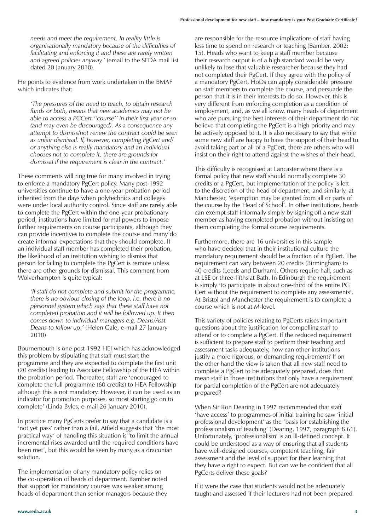*needs and meet the requirement. In reality little is organisationally mandatory because of the difficulties of facilitating and enforcing it and these are rarely written and agreed policies anyway.'* (email to the SEDA mail list dated 20 January 2010).

He points to evidence from work undertaken in the BMAF which indicates that:

 *'The pressures of the need to teach, to obtain research funds or both, means that new academics may not be able to access a PGCert ''course'' in their first year or so (and may even be discouraged). As a consequence any attempt to dismiss/not renew the contract could be seen as unfair dismissal. If, however, completing PgCert and/ or anything else is really mandatory and an individual chooses not to complete it, there are grounds for dismissal if the requirement is clear in the contract.'* 

These comments will ring true for many involved in trying to enforce a mandatory PgCert policy. Many post-1992 universities continue to have a one-year probation period inherited from the days when polytechnics and colleges were under local authority control. Since staff are rarely able to complete the PgCert within the one-year probationary period, institutions have limited formal powers to impose further requirements on course participants, although they can provide incentives to complete the course and many do create informal expectations that they should complete. If an individual staff member has completed their probation, the likelihood of an institution wishing to dismiss that person for failing to complete the PgCert is remote unless there are other grounds for dismissal. This comment from Wolverhampton is quite typical:

 *'If staff do not complete and submit for the programme, there is no obvious closing of the loop. i.e. there is no personnel system which says that these staff have not completed probation and it will be followed up. It then comes down to individual managers e.g. Deans/Asst Deans to follow up.'* (Helen Gale, e-mail 27 January 2010)

Bournemouth is one post-1992 HEI which has acknowledged this problem by stipulating that staff must start the programme and they are expected to complete the first unit (20 credits) leading to Associate Fellowship of the HEA within the probation period. Thereafter, staff are 'encouraged to complete the full programme (60 credits) to HEA Fellowship although this is not mandatory. However, it can be used as an indicator for promotion purposes, so most starting go on to complete' (Linda Byles, e-mail 26 January 2010).

In practice many PgCerts prefer to say that a candidate is a 'not yet pass' rather than a fail. Atfield suggests that 'the most practical way' of handling this situation is 'to limit the annual incremental rises awarded until the required conditions have been met', but this would be seen by many as a draconian solution.

The implementation of any mandatory policy relies on the co-operation of heads of department. Bamber noted that support for mandatory courses was weaker among heads of department than senior managers because they

are responsible for the resource implications of staff having less time to spend on research or teaching (Bamber, 2002: 15). Heads who want to keep a staff member because their research output is of a high standard would be very unlikely to lose that valuable researcher because they had not completed their PgCert. If they agree with the policy of a mandatory PgCert, HoDs can apply considerable pressure on staff members to complete the course, and persuade the person that it is in their interests to do so. However, this is very different from enforcing completion as a condition of employment, and, as we all know, many heads of department who are pursuing the best interests of their department do not believe that completing the PgCert is a high priority and may be actively opposed to it. It is also necessary to say that while some new staff are happy to have the support of their head to avoid taking part or all of a PgCert, there are others who will insist on their right to attend against the wishes of their head.

This difficulty is recognised at Lancaster where there is a formal policy that new staff should normally complete 30 credits of a PgCert, but implementation of the policy is left to the discretion of the head of department, and similarly, at Manchester, 'exemption may be granted from all or parts of the course by the Head of School'. In other institutions, heads can exempt staff informally simply by signing off a new staff member as having completed probation without insisting on them completing the formal course requirements.

Furthermore, there are 16 universities in this sample who have decided that in their institutional culture the mandatory requirement should be a fraction of a PgCert. The requirement can vary between 20 credits (Birmingham) to 40 credits (Leeds and Durham). Others require half, such as at LSE or three-fifths at Bath. In Edinburgh the requirement is simply 'to participate in about one-third of the entire PG Cert without the requirement to complete any assessments'. At Bristol and Manchester the requirement is to complete a course which is not at M-level.

This variety of policies relating to PgCerts raises important questions about the justification for compelling staff to attend or to complete a PgCert. If the reduced requirement is sufficient to prepare staff to perform their teaching and assessment tasks adequately, how can other institutions justify a more rigorous, or demanding requirement? If on the other hand the view is taken that all new staff need to complete a PgCert to be adequately prepared, does that mean staff in those institutions that only have a requirement for partial completion of the PgCert are not adequately prepared?

When Sir Ron Dearing in 1997 recommended that staff 'have access' to programmes of initial training he saw 'initial professional development' as the 'basis for establishing the professionalism of teaching' (Dearing, 1997, paragraph 8.61). Unfortunately, 'professionalism' is an ill-defined concept. It could be understood as a way of ensuring that all students have well-designed courses, competent teaching, fair assessment and the level of support for their learning that they have a right to expect. But can we be confident that all PgCerts deliver these goals?

If it were the case that students would not be adequately taught and assessed if their lecturers had not been prepared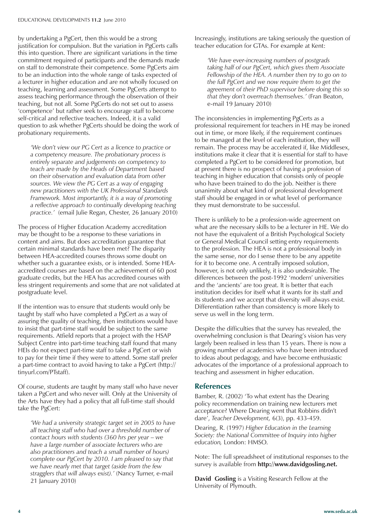by undertaking a PgCert, then this would be a strong justification for compulsion. But the variation in PgCerts calls this into question. There are significant variations in the time commitment required of participants and the demands made on staff to demonstrate their competence. Some PgCerts aim to be an induction into the whole range of tasks expected of a lecturer in higher education and are not wholly focused on teaching, learning and assessment. Some PgCerts attempt to assess teaching performance through the observation of their teaching, but not all. Some PgCerts do not set out to assess 'competence' but rather seek to encourage staff to become self-critical and reflective teachers. Indeed, it is a valid question to ask whether PgCerts should be doing the work of probationary requirements.

 *'We don't view our PG Cert as a licence to practice or a competency measure. The probationary process is entirely separate and judgements on competency to teach are made by the Heads of Department based on their observation and evaluation data from other sources. We view the PG Cert as a way of engaging new practitioners with the UK Professional Standards Framework. Most importantly, it is a way of promoting a reflective approach to continually developing teaching practice.'* (email Julie Regan, Chester, 26 January 2010)

The process of Higher Education Academy accreditation may be thought to be a response to these variations in content and aims. But does accreditation guarantee that certain minimal standards have been met? The disparity between HEA-accredited courses throws some doubt on whether such a guarantee exists, or is intended. Some HEAaccredited courses are based on the achievement of 60 post graduate credits, but the HEA has accredited courses with less stringent requirements and some that are not validated at postgraduate level.

If the intention was to ensure that students would only be taught by staff who have completed a PgCert as a way of assuring the quality of teaching, then institutions would have to insist that part-time staff would be subject to the same requirements. Atfield reports that a project with the HSAP Subject Centre into part-time teaching staff found that many HEIs do not expect part-time staff to take a PgCert or wish to pay for their time if they were to attend. Some staff prefer a part-time contract to avoid having to take a PgCert (http:// tinyurl.com/PTstaff).

Of course, students are taught by many staff who have never taken a PgCert and who never will. Only at the University of the Arts have they had a policy that all full-time staff should take the PgCert:

 *'We had a university strategic target set in 2005 to have all teaching staff who had over a threshold number of contact hours with students (360 hrs per year – we have a large number of associate lecturers who are also practitioners and teach a small number of hours) complete our PgCert by 2010. I am pleased to say that we have nearly met that target (aside from the few stragglers that will always exist).'* (Nancy Turner, e-mail 21 January 2010)

Increasingly, institutions are taking seriously the question of teacher education for GTAs. For example at Kent:

 *'We have ever-increasing numbers of postgrads taking half of our PgCert, which gives them Associate Fellowship of the HEA. A number then try to go on to the full PgCert and we now require them to get the agreement of their PhD supervisor before doing this so that they don't overreach themselves.'* (Fran Beaton, e-mail 19 January 2010)

The inconsistencies in implementing PgCerts as a professional requirement for teachers in HE may be ironed out in time, or more likely, if the requirement continues to be managed at the level of each institution, they will remain. The process may be accelerated if, like Middlesex, institutions make it clear that it is essential for staff to have completed a PgCert to be considered for promotion, but at present there is no prospect of having a profession of teaching in higher education that consists only of people who have been trained to do the job. Neither is there unanimity about what kind of professional development staff should be engaged in or what level of performance they must demonstrate to be successful.

There is unlikely to be a profession-wide agreement on what are the necessary skills to be a lecturer in HE. We do not have the equivalent of a British Psychological Society or General Medical Council setting entry requirements to the profession. The HEA is not a professional body in the same sense, nor do I sense there to be any appetite for it to become one. A centrally imposed solution, however, is not only unlikely, it is also undesirable. The differences between the post-1992 'modern' universities and the 'ancients' are too great. It is better that each institution decides for itself what it wants for its staff and its students and we accept that diversity will always exist. Differentiation rather than consistency is more likely to serve us well in the long term.

Despite the difficulties that the survey has revealed, the overwhelming conclusion is that Dearing's vision has very largely been realised in less than 15 years. There is now a growing number of academics who have been introduced to ideas about pedagogy, and have become enthusiastic advocates of the importance of a professional approach to teaching and assessment in higher education.

#### **References**

Bamber, R. (2002) 'To what extent has the Dearing policy recommendation on training new lecturers met acceptance? Where Dearing went that Robbins didn't dare', *Teacher Development,* 6(3), pp. 433-459.

Dearing, R. (1997) *Higher Education in the Learning Society: the National Committee of Inquiry into higher education,* London: HMSO.

Note: The full spreadsheet of institutional responses to the survey is available from **http://www.davidgosling.net.**

**David Gosling** is a Visiting Research Fellow at the University of Plymouth.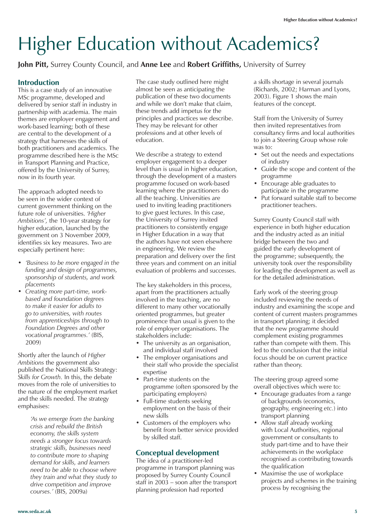# Higher Education without Academics?

**John Pitt,** Surrey County Council, and **Anne Lee** and **Robert Griffiths,** University of Surrey

#### **Introduction**

This is a case study of an innovative MSc programme, developed and delivered by senior staff in industry in partnership with academia. The main themes are employer engagement and work-based learning; both of these are central to the development of a strategy that harnesses the skills of both practitioners and academics. The programme described here is the MSc in Transport Planning and Practice, offered by the University of Surrey, now in its fourth year.

The approach adopted needs to be seen in the wider context of current government thinking on the future role of universities. *'Higher Ambitions',* the 10-year strategy for higher education, launched by the government on 3 November 2009, identifies six key measures. Two are especially pertinent here:

- *'Business to be more engaged in the funding and design of programmes, sponsorship of students, and work placements*
- *Creating more part-time, workbased and foundation degrees to make it easier for adults to go to universities, with routes from apprenticeships through to Foundation Degrees and other vocational programmes.'* (BIS, 2009)

Shortly after the launch of *Higher Ambitions* the government also published the National Skills Strategy: *Skills for Growth.* In this, the debate moves from the role of universities to the nature of the employment market and the skills needed. The strategy emphasises:

> *'As we emerge from the banking crisis and rebuild the British economy, the skills system needs a stronger focus towards strategic skills, businesses need to contribute more to shaping demand for skills, and learners need to be able to choose where they train and what they study to drive competition and improve courses.'* (BIS, 2009a)

The case study outlined here might almost be seen as anticipating the publication of these two documents and while we don't make that claim, these trends add impetus for the principles and practices we describe. They may be relevant for other professions and at other levels of education.

We describe a strategy to extend employer engagement to a deeper level than is usual in higher education, through the development of a masters programme focused on work-based learning where the practitioners do all the teaching. Universities are used to inviting leading practitioners to give guest lectures. In this case, the University of Surrey invited practitioners to consistently engage in Higher Education in a way that the authors have not seen elsewhere in engineering. We review the preparation and delivery over the first three years and comment on an initial evaluation of problems and successes.

The key stakeholders in this process, apart from the practitioners actually involved in the teaching, are no different to many other vocationally oriented programmes, but greater prominence than usual is given to the role of employer organisations. The stakeholders include:

- The university as an organisation, and individual staff involved
- The employer organisations and their staff who provide the specialist expertise
- Part-time students on the programme (often sponsored by the participating employers)
- Full-time students seeking employment on the basis of their new skills
- Customers of the employers who benefit from better service provided by skilled staff.

#### **Conceptual development**

The idea of a practitioner-led programme in transport planning was proposed by Surrey County Council staff in 2003 – soon after the transport planning profession had reported

a skills shortage in several journals (Richards, 2002; Harman and Lyons, 2003). Figure 1 shows the main features of the concept.

Staff from the University of Surrey then invited representatives from consultancy firms and local authorities to join a Steering Group whose role was to:

- Set out the needs and expectations of industry
- Guide the scope and content of the programme
- Encourage able graduates to participate in the programme
- Put forward suitable staff to become practitioner teachers.

Surrey County Council staff with experience in both higher education and the industry acted as an initial bridge between the two and guided the early development of the programme; subsequently, the university took over the responsibility for leading the development as well as for the detailed administration.

Early work of the steering group included reviewing the needs of industry and examining the scope and content of current masters programmes in transport planning; it decided that the new programme should complement existing programmes rather than compete with them. This led to the conclusion that the initial focus should be on current practice rather than theory.

The steering group agreed some overall objectives which were to:

- Encourage graduates from a range of backgrounds (economics, geography, engineering *etc.*) into transport planning
- Allow staff already working with Local Authorities, regional government or consultants to study part-time and to have their achievements in the workplace recognised as contributing towards the qualification
- Maximise the use of workplace projects and schemes in the training process by recognising the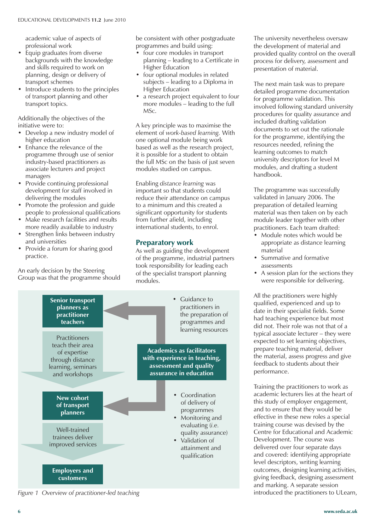academic value of aspects of professional work

- Equip graduates from diverse backgrounds with the knowledge and skills required to work on planning, design or delivery of transport schemes
- Introduce students to the principles of transport planning and other transport topics.

Additionally the objectives of the initiative were to:

- Develop a new industry model of higher education
- Enhance the relevance of the programme through use of senior industry-based practitioners as associate lecturers and project managers
- Provide continuing professional development for staff involved in delivering the modules
- Promote the profession and guide people to professional qualifications
- Make research facilities and results more readily available to industry Strengthen links between industry
- and universities • Provide a forum for sharing good
- practice.

An early decision by the Steering Group was that the programme should

be consistent with other postgraduate programmes and build using:

- four core modules in transport planning – leading to a Certificate in Higher Education
- four optional modules in related subjects – leading to a Diploma in Higher Education
- a research project equivalent to four more modules – leading to the full MSc.

A key principle was to maximise the element of *work-based learning.* With one optional module being work based as well as the research project, it is possible for a student to obtain the full MSc on the basis of just seven modules studied on campus.

Enabling *distance learning* was important so that students could reduce their attendance on campus to a minimum and this created a significant opportunity for students from further afield, including international students, to enrol.

#### **Preparatory work**

As well as guiding the development of the programme, industrial partners took responsibility for leading each of the specialist transport planning modules.



*Figure 1 Overview of practitioner-led teaching*

The university nevertheless oversaw the development of material and provided quality control on the overall process for delivery, assessment and presentation of material.

The next main task was to prepare detailed programme documentation for programme validation. This involved following standard university procedures for quality assurance and included drafting validation documents to set out the rationale for the programme, identifying the resources needed, refining the learning outcomes to match university descriptors for level M modules, and drafting a student handbook.

The programme was successfully validated in January 2006. The preparation of detailed learning material was then taken on by each module leader together with other practitioners. Each team drafted:

- Module notes which would be appropriate as distance learning material
- Summative and formative assessments
- A session plan for the sections they were responsible for delivering.

All the practitioners were highly qualified, experienced and up to date in their specialist fields. Some had teaching experience but most did not. Their role was not that of a typical associate lecturer – they were expected to set learning objectives, prepare teaching material, deliver the material, assess progress and give feedback to students about their performance.

Training the practitioners to work as academic lecturers lies at the heart of this study of employer engagement, and to ensure that they would be effective in these new roles a special training course was devised by the Centre for Educational and Academic Development. The course was delivered over four separate days and covered: identifying appropriate level descriptors, writing learning outcomes, designing learning activities, giving feedback, designing assessment and marking. A separate session introduced the practitioners to ULearn,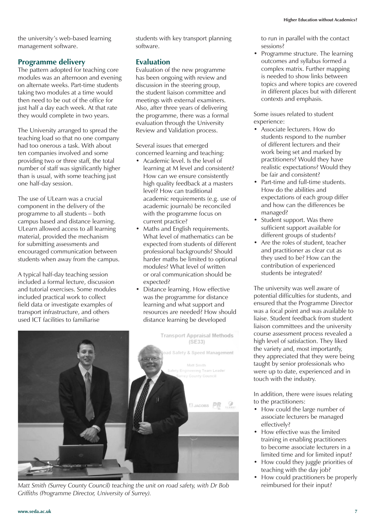the university's web-based learning management software.

#### **Programme delivery**

The pattern adopted for teaching core modules was an afternoon and evening on alternate weeks. Part-time students taking two modules at a time would then need to be out of the office for just half a day each week. At that rate they would complete in two years.

The University arranged to spread the teaching load so that no one company had too onerous a task. With about ten companies involved and some providing two or three staff, the total number of staff was significantly higher than is usual, with some teaching just one half-day session.

The use of ULearn was a crucial component in the delivery of the programme to all students – both campus based and distance learning. ULearn allowed access to all learning material, provided the mechanism for submitting assessments and encouraged communication between students when away from the campus.

A typical half-day teaching session included a formal lecture, discussion and tutorial exercises. Some modules included practical work to collect field data or investigate examples of transport infrastructure, and others used ICT facilities to familiarise

students with key transport planning software.

#### **Evaluation**

Evaluation of the new programme has been ongoing with review and discussion in the steering group, the student liaison committee and meetings with external examiners. Also, after three years of delivering the programme, there was a formal evaluation through the University Review and Validation process.

Several issues that emerged concerned learning and teaching:

- Academic level. Is the level of learning at M level and consistent? How can we ensure consistently high quality feedback at a masters level? How can traditional academic requirements (e.g. use of academic journals) be reconciled with the programme focus on current practice?
- Maths and English requirements. What level of mathematics can be expected from students of different professional backgrounds? Should harder maths be limited to optional modules? What level of written or oral communication should be expected?
- Distance learning. How effective was the programme for distance learning and what support and resources are needed? How should distance learning be developed



Matt Smith (Surrey County Council) teaching the unit on road safety, with Dr Bob reimbursed for their input? *Griffiths (Programme Director, University of Surrey).*

to run in parallel with the contact sessions?

• Programme structure. The learning outcomes and syllabus formed a complex matrix. Further mapping is needed to show links between topics and where topics are covered in different places but with different contexts and emphasis.

Some issues related to student experience:

- Associate lecturers. How do students respond to the number of different lecturers and their work being set and marked by practitioners? Would they have realistic expectations? Would they be fair and consistent?
- Part-time and full-time students. How do the abilities and expectations of each group differ and how can the differences be managed?
- Student support. Was there sufficient support available for different groups of students?
- Are the roles of student, teacher and practitioner as clear cut as they used to be? How can the contribution of experienced students be integrated?

The university was well aware of potential difficulties for students, and ensured that the Programme Director was a focal point and was available to liaise. Student feedback from student liaison committees and the university course assessment process revealed a high level of satisfaction. They liked the variety and, most importantly, they appreciated that they were being taught by senior professionals who were up to date, experienced and in touch with the industry.

In addition, there were issues relating to the practitioners:

- How could the large number of associate lecturers be managed effectively?
- How effective was the limited training in enabling practitioners to become associate lecturers in a limited time and for limited input?
- How could they juggle priorities of teaching with the day job?
- How could practitioners be properly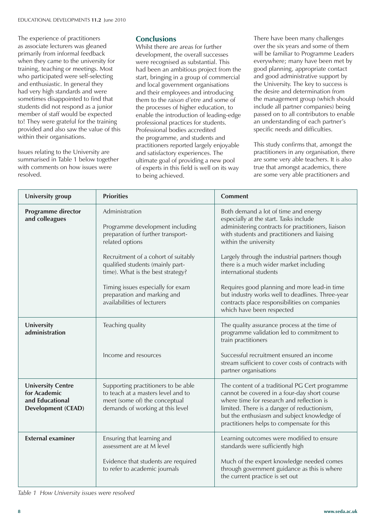The experience of practitioners as associate lecturers was gleaned primarily from informal feedback when they came to the university for training, teaching or meetings. Most who participated were self-selecting and enthusiastic. In general they had very high standards and were sometimes disappointed to find that students did not respond as a junior member of staff would be expected to! They were grateful for the training provided and also saw the value of this within their organisations.

Issues relating to the University are summarised in Table 1 below together with comments on how issues were resolved.

#### **Conclusions**

Whilst there are areas for further development, the overall successes were recognised as substantial. This had been an ambitious project from the start, bringing in a group of commercial and local government organisations and their employees and introducing them to the *raison d'etre* and some of the processes of higher education, to enable the introduction of leading-edge professional practices for students. Professional bodies accredited the programme, and students and practitioners reported largely enjoyable and satisfactory experiences. The ultimate goal of providing a new pool of experts in this field is well on its way to being achieved.

There have been many challenges over the six years and some of them will be familiar to Programme Leaders everywhere; many have been met by good planning, appropriate contact and good administrative support by the University. The key to success is the desire and determination from the management group (which should include all partner companies) being passed on to all contributors to enable an understanding of each partner's specific needs and difficulties.

This study confirms that, amongst the practitioners in any organisation, there are some very able teachers. It is also true that amongst academics, there are some very able practitioners and

| University group                                                                         | <b>Priorities</b>                                                                                                                              | <b>Comment</b>                                                                                                                                                                                                                                                                          |
|------------------------------------------------------------------------------------------|------------------------------------------------------------------------------------------------------------------------------------------------|-----------------------------------------------------------------------------------------------------------------------------------------------------------------------------------------------------------------------------------------------------------------------------------------|
| <b>Programme director</b><br>and colleagues                                              | Administration<br>Programme development including<br>preparation of further transport-<br>related options                                      | Both demand a lot of time and energy<br>especially at the start. Tasks include<br>administering contracts for practitioners, liaison<br>with students and practitioners and liaising<br>within the university                                                                           |
|                                                                                          | Recruitment of a cohort of suitably<br>qualified students (mainly part-<br>time). What is the best strategy?                                   | Largely through the industrial partners though<br>there is a much wider market including<br>international students                                                                                                                                                                      |
|                                                                                          | Timing issues especially for exam<br>preparation and marking and<br>availabilities of lecturers                                                | Requires good planning and more lead-in time<br>but industry works well to deadlines. Three-year<br>contracts place responsibilities on companies<br>which have been respected                                                                                                          |
| University<br>administration                                                             | Teaching quality                                                                                                                               | The quality assurance process at the time of<br>programme validation led to commitment to<br>train practitioners                                                                                                                                                                        |
|                                                                                          | Income and resources                                                                                                                           | Successful recruitment ensured an income<br>stream sufficient to cover costs of contracts with<br>partner organisations                                                                                                                                                                 |
| <b>University Centre</b><br>for Academic<br>and Educational<br><b>Development (CEAD)</b> | Supporting practitioners to be able<br>to teach at a masters level and to<br>meet (some of) the conceptual<br>demands of working at this level | The content of a traditional PG Cert programme<br>cannot be covered in a four-day short course<br>where time for research and reflection is<br>limited. There is a danger of reductionism,<br>but the enthusiasm and subject knowledge of<br>practitioners helps to compensate for this |
| <b>External examiner</b>                                                                 | Ensuring that learning and<br>assessment are at M level                                                                                        | Learning outcomes were modified to ensure<br>standards were sufficiently high                                                                                                                                                                                                           |
|                                                                                          | Evidence that students are required<br>to refer to academic journals                                                                           | Much of the expert knowledge needed comes<br>through government guidance as this is where<br>the current practice is set out                                                                                                                                                            |

*Table 1 How University issues were resolved*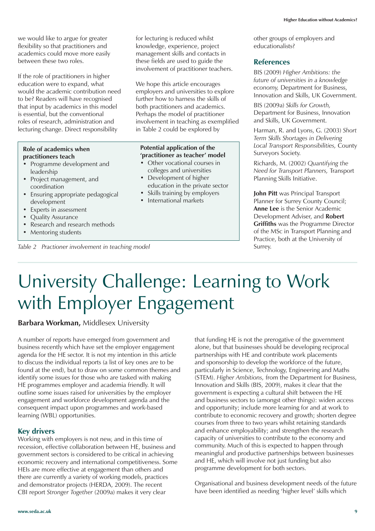we would like to argue for greater flexibility so that practitioners and academics could move more easily between these two roles.

If the role of practitioners in higher education were to expand, what would the academic contribution need to be? Readers will have recognised that input by academics in this model is essential, but the conventional roles of research, administration and lecturing change. Direct responsibility

#### **Role of academics when practitioners teach**

- Programme development and leadership
- Project management, and coordination
- Ensuring appropriate pedagogical development
- Experts in assessment
- Quality Assurance
- Research and research methods
- Mentoring students

for lecturing is reduced whilst knowledge, experience, project management skills and contacts in these fields are used to guide the involvement of practitioner teachers.

We hope this article encourages employers and universities to explore further how to harness the skills of both practitioners and academics. Perhaps the model of practitioner involvement in teaching as exemplified in Table 2 could be explored by

#### **Potential application of the 'practitioner as teacher' model**

- Other vocational courses in colleges and universities
- Development of higher education in the private sector
- Skills training by employers
- International markets

other groups of employers and educationalists?

#### **References**

BIS (2009) *Higher Ambitions: the future of universities in a knowledge economy,* Department for Business, Innovation and Skills, UK Government.

BIS (2009a) *Skills for Growth,* Department for Business, Innovation and Skills, UK Government.

Harman, R. and Lyons, G. (2003) *Short Term Skills Shortages in Delivering Local Transport Responsibilities,* County Surveyors Society.

Richards, M. (2002) *Quantifying the Need for Transport Planners,* Transport Planning Skills Initiative.

**John Pitt** was Principal Transport Planner for Surrey County Council; **Anne Lee** is the Senior Academic Development Adviser, and **Robert Griffiths** was the Programme Director of the MSc in Transport Planning and Practice, both at the University of Surrey.

## University Challenge: Learning to Work with Employer Engagement

#### **Barbara Workman,** Middlesex University

*Table 2 Practioner involvement in teaching model*

A number of reports have emerged from government and business recently which have set the employer engagement agenda for the HE sector. It is not my intention in this article to discuss the individual reports (a list of key ones are to be found at the end), but to draw on some common themes and identify some issues for those who are tasked with making HE programmes employer and academia friendly. It will outline some issues raised for universities by the employer engagement and workforce development agenda and the consequent impact upon programmes and work-based learning (WBL) opportunities.

#### **Key drivers**

Working with employers is not new, and in this time of recession, effective collaboration between HE, business and government sectors is considered to be critical in achieving economic recovery and international competitiveness. Some HEIs are more effective at engagement than others and there are currently a variety of working models, practices and demonstrator projects (HERDA, 2009). The recent CBI report *Stronger Together* (2009a) makes it very clear

that funding HE is not the prerogative of the government alone, but that businesses should be developing reciprocal partnerships with HE and contribute work placements and sponsorship to develop the workforce of the future, particularly in Science, Technology, Engineering and Maths (STEM). *Higher Ambitions,* from the Department for Business, Innovation and Skills (BIS, 2009), makes it clear that the government is expecting a cultural shift between the HE and business sectors to (amongst other things): widen access and opportunity; include more learning for and at work to contribute to economic recovery and growth; shorten degree courses from three to two years whilst retaining standards and enhance employability; and strengthen the research capacity of universities to contribute to the economy and community. Much of this is expected to happen through meaningful and productive partnerships between businesses and HE, which will involve not just funding but also programme development for both sectors.

Organisational and business development needs of the future have been identified as needing 'higher level' skills which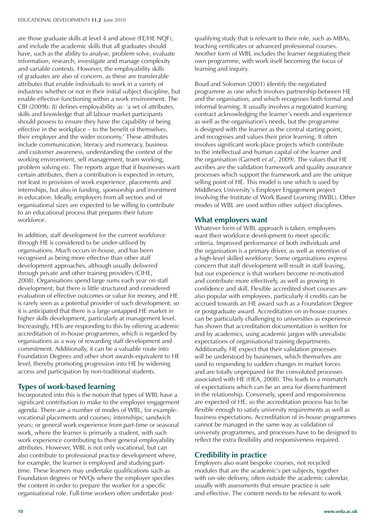are those graduate skills at level 4 and above (FE/HE NQF), and include the academic skills that all graduates should have, such as the ability to analyse, problem solve, evaluate information, research, investigate and manage complexity and variable contexts. However, the employability skills of graduates are also of concern, as these are transferable attributes that enable individuals to work in a variety of industries whether or not in their initial subject discipline, but enable effective functioning within a work environment. The CBI (2009b: 8) defines employability as: 'a set of attributes, skills and knowledge that all labour market participants should possess to ensure they have the capability of being effective in the workplace – to the benefit of themselves, their employer and the wider economy.' These attributes include communication, literacy and numeracy, business and customer awareness, understanding the context of the working environment, self management, team working, problem solving *etc.* The reports argue that if businesses want certain attributes, then a contribution is expected in return, not least in provision of work experience, placements and internships, but also in funding, sponsorship and investment in education. Ideally, employers from all sectors and of organisational sizes are expected to be willing to contribute to an educational process that prepares their future workforce.

In addition, staff development for the current workforce through HE is considered to be under-utilised by organisations. Much occurs in-house, and has been recognised as being more effective than other staff development approaches, although usually delivered through private and other training providers (CIHE, 2008). Organisations spend large sums each year on staff development, but there is little structured and considered evaluation of effective outcomes or value for money, and HE is rarely seen as a potential provider of such development, so it is anticipated that there is a large untapped HE market in higher skills development, particularly at management level. Increasingly, HEIs are responding to this by offering academic accreditation of in-house programmes, which is regarded by organisations as a way of rewarding staff development and commitment. Additionally, it can be a valuable route into Foundation Degrees and other short awards equivalent to HE level, thereby promoting progression into HE by widening access and participation by non-traditional students.

#### **Types of work-based learning**

Incorporated into this is the notion that types of WBL have a significant contribution to make to the employer engagement agenda. There are a number of modes of WBL, for example: vocational placements and courses; internships; sandwich years; or general work experience from part-time or seasonal work, where the learner is primarily a student, with such work experience contributing to their general employability attributes. However, WBL is not only vocational, but can also contribute to professional practice development where, for example, the learner is employed and studying parttime. These learners may undertake qualifications such as Foundation degrees or NVQs where the employer specifies the content in order to prepare the worker for a specific organisational role. Full-time workers often undertake postqualifying study that is relevant to their role, such as MBAs, teaching certificates or advanced professional courses. Another form of WBL includes the learner negotiating their own programme, with work itself becoming the focus of learning and inquiry.

Boud and Solomon (2001) identify the negotiated programme as one which involves partnership between HE and the organisation, and which recognises both formal and informal learning. It usually involves a negotiated learning contract acknowledging the learner's needs and experience as well as the organisation's needs, but the programme is designed with the learner as the central starting point, and recognises and values their prior learning. It often involves significant work-place projects which contribute to the intellectual and human capital of the learner and the organisation (Garnett *et al.,* 2009). The values that HE ascribes are the validation framework and quality assurance processes which support the framework and are the unique selling point of HE. This model is one which is used by Middlesex University's Employer Engagement project involving the Institute of Work Based Learning (IWBL). Other modes of WBL are used within other subject disciplines.

#### **What employers want**

Whatever form of WBL approach is taken, employers want their workforce development to meet specific criteria. Improved performance of both individuals and the organisation is a primary driver, as well as retention of a high-level skilled workforce. Some organisations express concern that staff development will result in staff leaving, but our experience is that workers become re-motivated and contribute more effectively, as well as growing in confidence and skill. Flexible accredited short courses are also popular with employees, particularly if credits can be accrued towards an HE award such as a Foundation Degree or postgraduate award. Accreditation on in-house courses can be particularly challenging to universities as experience has shown that accreditation documentation is written for and by academics, using academic jargon with unrealistic expectations of organisational training departments. Additionally, HE expect that their validation processes will be understood by businesses, which themselves are used to responding to sudden changes in market forces and are totally unprepared for the convoluted processes associated with HE (HEA, 2008). This leads to a mismatch of expectations which can be an area for disenchantment in the relationship. Conversely, speed and responsiveness are expected of HE, so the accreditation process has to be flexible enough to satisfy university requirements as well as business expectations. Accreditation of in-house programmes cannot be managed in the same way as validation of university programmes, and processes have to be designed to reflect the extra flexibility and responsiveness required.

#### **Credibility in practice**

Employers also want bespoke courses, not recycled modules that are the academic's pet subjects, together with on-site delivery, often outside the academic calendar, usually with assessments that ensure practice is safe and effective. The content needs to be relevant to work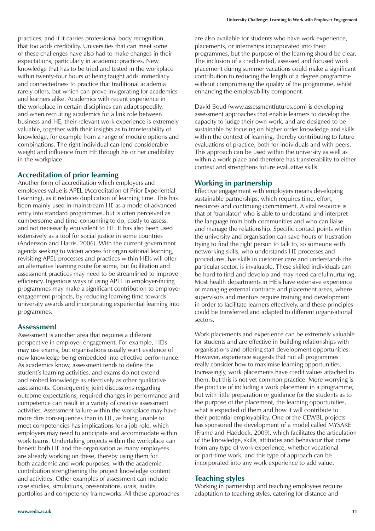practices, and if it carries professional body recognition, that too adds credibility. Universities that can meet some of these challenges have also had to make changes in their expectations, particularly in academic practices. New knowledge that has to be tried and tested in the workplace within twenty-four hours of being taught adds immediacy and connectedness to practice that traditional academia rarely offers, but which can prove invigorating for academics and learners alike. Academics with recent experience in the workplace in certain disciplines can adapt speedily, and when recruiting academics for a link role between business and HE, their relevant work experience is extremely valuable, together with their insights as to transferability of knowledge, for example from a range of module options and combinations. The right individual can lend considerable weight and influence from HE through his or her credibility in the workplace.

#### **Accreditation of prior learning**

Another form of accreditation which employers and employees value is APEL (Accreditation of Prior Experiential Learning), as it reduces duplication of learning time. This has been mainly used in mainstream HE as a mode of advanced entry into standard programmes, but is often perceived as cumbersome and time-consuming to do, costly to assess, and not necessarily equivalent to HE. It has also been used extensively as a tool for social justice in some countries (Andersson and Harris, 2006). With the current government agenda seeking to widen access for organisational learning, revisiting APEL processes and practices within HEIs will offer an alternative learning route for some, but facilitation and assessment practices may need to be streamlined to improve efficiency. Ingenious ways of using APEL in employer-facing programmes may make a significant contribution to employer engagement projects, by reducing learning time towards university awards and incorporating experiential learning into programmes.

#### **Assessment**

Assessment is another area that requires a different perspective in employer engagement. For example, HEIs may use exams, but organisations usually want evidence of new knowledge being embedded into effective performance. As academics know, assessment tends to define the student's learning activities, and exams do not extend and embed knowledge as effectively as other qualitative assessments. Consequently, joint discussions regarding outcome expectations, required changes in performance and competence can result in a variety of creative assessment activities. Assessment failure within the workplace may have more dire consequences than in HE, as being unable to meet competencies has implications for a job role, which employers may need to anticipate and accommodate within work teams. Undertaking projects within the workplace can benefit both HE and the organisation as many employees are already working on these, thereby using them for both academic and work purposes, with the academic contribution strengthening the project knowledge content and activities. Other examples of assessment can include case studies, simulations, presentations, orals, audits, portfolios and competency frameworks. All these approaches are also available for students who have work experience, placements, or internships incorporated into their programmes, but the purpose of the learning should be clear. The inclusion of a credit-rated, assessed and focused work placement during summer vacations could make a significant contribution to reducing the length of a degree programme without compromising the quality of the programme, whilst enhancing the employability component.

David Boud (www.assessmentfutures.com) is developing assessment approaches that enable learners to develop the capacity to judge their own work, and are designed to be sustainable by focusing on higher order knowledge and skills within the context of learning, thereby contributing to future evaluations of practice, both for individuals and with peers. This approach can be used within the university as well as within a work place and therefore has transferability to either context and strengthens future evaluative skills.

#### **Working in partnership**

Effective engagement with employers means developing sustainable partnerships, which requires time, effort, resources and continuing commitment. A vital resource is that of 'translator' who is able to understand and interpret the language from both communities and who can liaise and manage the relationship. Specific contact points within the university and organisation can save hours of frustration trying to find the right person to talk to, so someone with networking skills, who understands HE processes and procedures, has skills in customer care and understands the particular sector, is invaluable. These skilled individuals can be hard to find and develop and may need careful nurturing. Most health departments in HEIs have extensive experience of managing external contracts and placement areas, where supervisors and mentors require training and development in order to facilitate learners effectively, and these principles could be transferred and adapted to different organisational sectors.

Work placements and experience can be extremely valuable for students and are effective in building relationships with organisations and offering staff development opportunities. However, experience suggests that not all programmes really consider how to maximise learning opportunities. Increasingly, work placements have credit values attached to them, but this is not yet common practice. More worrying is the practice of including a work placement in a programme, but with little preparation or guidance for the students as to the purpose of the placement, the learning opportunities, what is expected of them and how it will contribute to their potential employability. One of the CEWBL projects has sponsored the development of a model called MYSAKE (Frame and Haddock, 2009), which facilitates the articulation of the knowledge, skills, attitudes and behaviour that come from any type of work experience, whether vocational or part-time work, and this type of approach can be incorporated into any work experience to add value.

#### **Teaching styles**

Working in partnership and teaching employees require adaptation to teaching styles, catering for distance and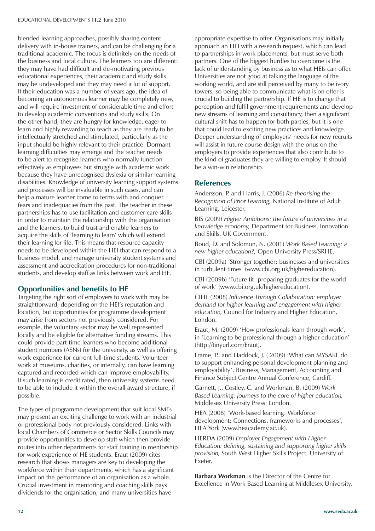blended learning approaches, possibly sharing content delivery with in-house trainers, and can be challenging for a traditional academic. The focus is definitely on the needs of the business and local culture. The learners too are different: they may have had difficult and de-motivating previous educational experiences, their academic and study skills may be undeveloped and they may need a lot of support. If their education was a number of years ago, the idea of becoming an autonomous learner may be completely new, and will require investment of considerable time and effort to develop academic conventions and study skills. On the other hand, they are hungry for knowledge, eager to learn and highly rewarding to teach as they are ready to be intellectually stretched and stimulated, particularly as the input should be highly relevant to their practice. Dormant learning difficulties may emerge and the teacher needs to be alert to recognise learners who normally function effectively as employees but struggle with academic work because they have unrecognised dyslexia or similar learning disabilities. Knowledge of university learning support systems and processes will be invaluable in such cases, and can help a mature learner come to terms with and conquer fears and inadequacies from the past. The teacher in these partnerships has to use facilitation and customer care skills in order to maintain the relationship with the organisation and the learners, to build trust and enable learners to acquire the skills of 'learning to learn' which will extend their learning for life. This means that resource capacity needs to be developed within the HEI that can respond to a business model, and manage university student systems and assessment and accreditation procedures for non-traditional students, and develop staff as links between work and HE.

#### **Opportunities and benefits to HE**

Targeting the right sort of employers to work with may be straightforward, depending on the HEI's reputation and location, but opportunities for programme development may arise from sectors not previously considered. For example, the voluntary sector may be well represented locally and be eligible for alternative funding streams. This could provide part-time learners who become additional student numbers (ASNs) for the university, as well as offering work experience for current full-time students. Volunteer work at museums, charities, or internally, can have learning captured and recorded which can improve employability. If such learning is credit rated, then university systems need to be able to include it within the overall award structure, if possible.

The types of programme development that suit local SMEs may present an exciting challenge to work with an industrial or professional body not previously considered. Links with local Chambers of Commerce or Sector Skills Councils may provide opportunities to develop staff which then provide routes into other departments for staff training in mentorship for work experience of HE students. Eraut (2009) cites research that shows managers are key to developing the workforce within their departments, which has a significant impact on the performance of an organisation as a whole. Crucial investment in mentoring and coaching skills pays dividends for the organisation, and many universities have

appropriate expertise to offer. Organisations may initially approach an HEI with a research request, which can lead to partnerships in work placements, but must serve both partners. One of the biggest hurdles to overcome is the lack of understanding by business as to what HEIs can offer. Universities are not good at talking the language of the working world, and are still perceived by many to be ivory towers; so being able to communicate what is on offer is crucial to building the partnership. If HE is to change that perception and fulfil government requirements and develop new streams of learning and consultancy, then a significant cultural shift has to happen for both parties, but it is one that could lead to exciting new practices and knowledge. Deeper understanding of employers' needs for new recruits will assist in future course design with the onus on the employers to provide experiences that also contribute to the kind of graduates they are willing to employ. It should be a win-win relationship.

#### **References**

Andersson, P. and Harris, J. (2006) *Re-theorising the Recognition of Prior Learning,* National Institute of Adult Learning, Leicester.

BIS (2009) *Higher Ambitions: the future of universities in a knowledge economy,* Department for Business, Innovation and Skills, UK Government.

Boud, D. and Solomon, N. (2001) *Work Based Learning: a new higher education?,* Open University Press/SRHE.

CBI (2009a) 'Stronger together: businesses and universities in turbulent times (www.cbi.org.uk/highereducation).

CBI (2009b) 'Future fit: preparing graduates for the world of work' (www.cbi.org.uk/highereducation).

CIHE (2008) *Influence Through Collaboration: employer demand for higher learning and engagement with higher education,* Council for Industry and Higher Education, London.

Eraut, M. (2009) 'How professionals learn through work', in 'Learning to be professional through a higher education' (http://tinyurl.com/Eraut).

Frame, P., and Haddock, J. ( 2009) 'What can MYSAKE do to support enhancing personal development planning and employability', Business, Management, Accounting and Finance Subject Centre Annual Conference, Cardiff.

Garnett, J., Costley, C. and Workman, B. (2009) *Work Based Learning: journeys to the core of higher education,* Middlesex University Press: London.

HEA (2008) 'Work-based learning. Workforce development: Connections, frameworks and processes', HEA York (www.heacademy.ac.uk).

HERDA (2009) *Employer Engagement with Higher Education: defining, sustaining and supporting higher skills provision,* South West Higher Skills Project, University of Exeter.

**Barbara Workman** is the Director of the Centre for Excellence in Work Based Learning at Middlesex University.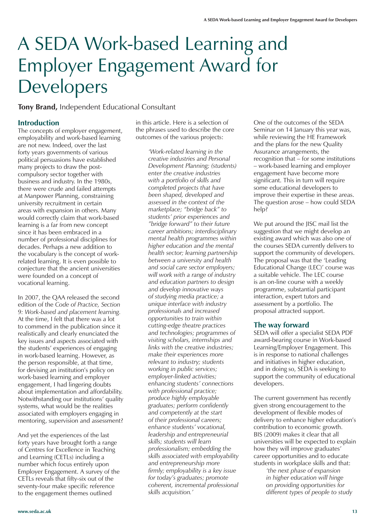### A SEDA Work-based Learning and Employer Engagement Award for Developers

**Tony Brand,** Independent Educational Consultant

#### **Introduction**

The concepts of employer engagement, employability and work-based learning are not new. Indeed, over the last forty years governments of various political persuasions have established many projects to draw the postcompulsory sector together with business and industry. In the 1980s, there were crude and failed attempts at Manpower Planning, constraining university recruitment in certain areas with expansion in others. Many would correctly claim that work-based learning is a far from new concept since it has been embraced in a number of professional disciplines for decades. Perhaps a new addition to the vocabulary is the concept of workrelated learning. It is even possible to conjecture that the ancient universities were founded on a concept of vocational learning.

In 2007, the QAA released the second edition of the *Code of Practice, Section 9: Work-based and placement learning.* At the time, I felt that there was a lot to commend in the publication since it realistically and clearly enunciated the key issues and aspects associated with the students' experiences of engaging in work-based learning. However, as the person responsible, at that time, for devising an institution's policy on work-based learning and employer engagement, I had lingering doubts about implementation and affordability. Notwithstanding our institutions' quality systems, what would be the realities associated with employers engaging in mentoring, supervision and assessment?

And yet the experiences of the last forty years have brought forth a range of Centres for Excellence in Teaching and Learning (CETLs) including a number which focus entirely upon Employer Engagement. A survey of the CETLs reveals that fifty-six out of the seventy-four make specific reference to the engagement themes outlined

in this article. Here is a selection of the phrases used to describe the core outcomes of the various projects:

> *'Work-related learning in the creative industries and Personal Development Planning; (students) enter the creative industries with a portfolio of skills and completed projects that have been shaped, developed and assessed in the context of the marketplace; "bridge back" to students' prior experiences and "bridge forward" to their future career ambitions; interdisciplinary mental health programmes within higher education and the mental health sector; learning partnership between a university and health and social care sector employers; will work with a range of industry and education partners to design and develop innovative ways of studying media practice; a unique interface with industry professionals and increased opportunities to train within cutting-edge theatre practices and technologies; programmes of visiting scholars, internships and links with the creative industries; make their experiences more relevant to industry; students working in public services; employer-linked activities; enhancing students' connections with professional practice; produce highly employable graduates; perform confidently and competently at the start of their professional careers; enhance students' vocational, leadership and entrepreneurial skills; students will learn professionalism; embedding the skills associated with employability and entrepreneurship more firmly; employability is a key issue for today's graduates; promote coherent, incremental professional skills acquisition.'*

One of the outcomes of the SEDA Seminar on 14 January this year was, while reviewing the HE Framework and the plans for the new Quality Assurance arrangements, the recognition that – for some institutions – work-based learning and employer engagement have become more significant. This in turn will require some educational developers to improve their expertise in these areas. The question arose – how could SEDA help?

We put around the JISC mail list the suggestion that we might develop an existing award which was also one of the courses SEDA currently delivers to support the community of developers. The proposal was that the 'Leading Educational Change (LEC)' course was a suitable vehicle. The LEC course is an on-line course with a weekly programme, substantial participant interaction, expert tutors and assessment by a portfolio. The proposal attracted support.

#### **The way forward**

SEDA will offer a specialist SEDA PDF award-bearing course in Work-based Learning/Employer Engagement. This is in response to national challenges and initiatives in higher education, and in doing so, SEDA is seeking to support the community of educational developers.

The current government has recently given strong encouragement to the development of flexible modes of delivery to enhance higher education's contribution to economic growth. BIS (2009) makes it clear that all universities will be expected to explain how they will improve graduates' career opportunities and to educate students in workplace skills and that:

> *'the next phase of expansion in higher education will hinge on providing opportunities for different types of people to study*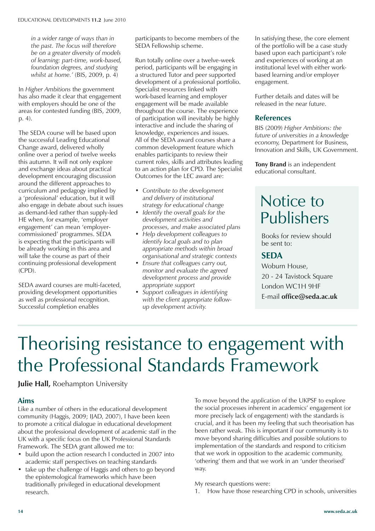*in a wider range of ways than in the past. The focus will therefore be on a greater diversity of models of learning: part-time, work-based, foundation degrees, and studying whilst at home.'* (BIS, 2009, p. 4)

In *Higher Ambitions* the government has also made it clear that engagement with employers should be one of the areas for contested funding (BIS, 2009, p. 4).

The SEDA course will be based upon the successful Leading Educational Change award, delivered wholly online over a period of twelve weeks this autumn. It will not only explore and exchange ideas about practical development encouraging discussion around the different approaches to curriculum and pedagogy implied by a 'professional' education, but it will also engage in debate about such issues as demand-led rather than supply-led HE when, for example, 'employer engagement' can mean 'employercommissioned' programmes. SEDA is expecting that the participants will be already working in this area and will take the course as part of their continuing professional development (CPD).

SEDA award courses are multi-faceted, providing development opportunities as well as professional recognition. Successful completion enables

participants to become members of the SEDA Fellowship scheme.

Run totally online over a twelve-week period, participants will be engaging in a structured Tutor and peer supported development of a professional portfolio. Specialist resources linked with work-based learning and employer engagement will be made available throughout the course. The experience of participation will inevitably be highly interactive and include the sharing of knowledge, experiences and issues. All of the SEDA award courses share a common development feature which enables participants to review their current roles, skills and attributes leading to an action plan for CPD. The Specialist Outcomes for the LEC award are:

- *Contribute to the development and delivery of institutional strategy for educational change*
- *Identify the overall goals for the development activities and processes, and make associated plans*
- *Help development colleagues to identify local goals and to plan appropriate methods within broad organisational and strategic contexts*
- *Ensure that colleagues carry out, monitor and evaluate the agreed development process and provide appropriate support*
- *Support colleagues in identifying with the client appropriate followup development activity.*

In satisfying these, the core element of the portfolio will be a case study based upon each participant's role and experiences of working at an institutional level with either workbased learning and/or employer engagement.

Further details and dates will be released in the near future.

#### **References**

BIS (2009) *Higher Ambitions: the future of universities in a knowledge economy,* Department for Business, Innovation and Skills, UK Government.

**Tony Brand** is an independent educational consultant.

### Notice to Publishers

Books for review should be sent to:

#### **SEDA**

Woburn House, 20 - 24 Tavistock Square London WC1H 9HF E-mail **office@seda.ac.uk**

### Theorising resistance to engagement with the Professional Standards Framework

**Julie Hall, Roehampton University** 

#### **Aims**

Like a number of others in the educational development community (Haggis, 2009; IJAD, 2007), I have been keen to promote a critical dialogue in educational development about the professional development of academic staff in the UK with a specific focus on the UK Professional Standards Framework. The SEDA grant allowed me to:

- build upon the action research I conducted in 2007 into academic staff perspectives on teaching standards
- take up the challenge of Haggis and others to go beyond the epistemological frameworks which have been traditionally privileged in educational development research.

To move beyond the *application* of the UKPSF to explore the social processes inherent in academics' engagement (or more precisely lack of engagement) with the standards is crucial, and it has been my feeling that such theorisation has been rather weak. This is important if our community is to move beyond sharing difficulties and possible solutions to implementation of the standards and respond to criticism that we work in opposition to the academic community, 'othering' them and that we work in an 'under theorised' way.

My research questions were:

1. How have those researching CPD in schools, universities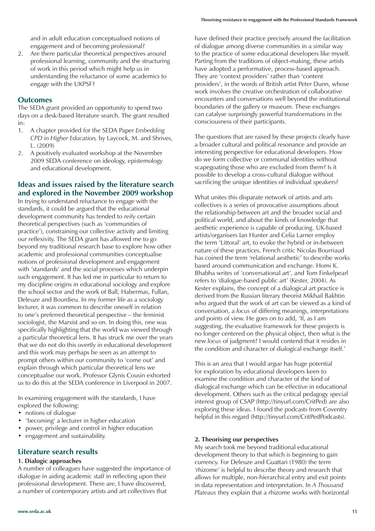and in adult education conceptualised notions of engagement and of becoming professional?

2. Are there particular theoretical perspectives around professional learning, community and the structuring of work in this period which might help us in understanding the reluctance of some academics to engage with the UKPSF?

#### **Outcomes**

The SEDA grant provided an opportunity to spend two days on a desk-based literature search. The grant resulted in:

- 1. A chapter provided for the SEDA Paper *Embedding CPD in Higher Education,* by Laycock, M. and Shrives, L. (2009)
- 2. A positively evaluated workshop at the November 2009 SEDA conference on ideology, epistemology and educational development.

#### **Ideas and issues raised by the literature search and explored in the November 2009 workshop**

In trying to understand reluctance to engage with the standards, it could be argued that the educational development community has tended to reify certain theoretical perspectives (such as 'communities of practice'), constraining our collective activity and limiting our reflexivity. The SEDA grant has allowed me to go beyond my traditional research base to explore how other academic and professional communities conceptualise notions of professional development and engagement with 'standards' and the social processes which underpin such engagement. It has led me in particular to return to my discipline origins in educational sociology and explore the school sector and the work of Ball, Habermas, Fullan, Deleuze and Bourdieu. In my former life as a sociology lecturer, it was common to describe oneself in relation to one's preferred theoretical perspective – the feminist sociologist, the Marxist and so on. In doing this, one was specifically highlighting that the world was viewed through a particular theoretical lens. It has struck me over the years that we do not do this overtly in educational development and this work may perhaps be seen as an attempt to prompt others within our community to 'come out' and explain through which particular theoretical lens we conceptualise our work. Professor Glynis Cousin exhorted us to do this at the SEDA conference in Liverpool in 2007.

In examining engagement with the standards, I have explored the following:

- notions of dialogue
- 'becoming' a lecturer in higher education
- power, privilege and control in higher education
- engagement and sustainability.

#### **Literature search results**

#### **1. Dialogic approaches**

A number of colleagues have suggested the importance of dialogue in aiding academic staff in reflecting upon their professional development. There are, I have discovered, a number of contemporary artists and art collectives that

have defined their practice precisely around the facilitation of dialogue among diverse communities in a similar way to the practice of some educational developers like myself. Parting from the traditions of object-making, these artists have adopted a performative, process-based approach. They are 'context providers' rather than 'content providers', in the words of British artist Peter Dunn, whose work involves the creative orchestration of collaborative encounters and conversations well beyond the institutional boundaries of the gallery or museum. These exchanges can catalyse surprisingly powerful transformations in the consciousness of their participants.

The questions that are raised by these projects clearly have a broader cultural and political resonance and provide an interesting perspective for educational developers. How do we form collective or communal identities without scapegoating those who are excluded from them? Is it possible to develop a cross-cultural dialogue without sacrificing the unique identities of individual speakers?

What unites this disparate network of artists and arts collectives is a series of provocative assumptions about the relationship between art and the broader social and political world, and about the kinds of knowledge that aesthetic experience is capable of producing. UK-based artists/organisers Ian Hunter and Celia Larner employ the term 'Littoral' art, to evoke the hybrid or in-between nature of these practices. French critic Nicolas Bourriaud has coined the term 'relational aesthetic' to describe works based around communication and exchange. Homi K. Bhabha writes of 'conversational art', and Tom Finkelpearl refers to 'dialogue-based public art' (Kester, 2004). As Kester explains, the concept of a dialogical art practice is derived from the Russian literary theorist Mikhail Bakhtin who argued that the work of art can be viewed as a kind of conversation, a *locus* of differing meanings, interpretations and points of view. He goes on to add, 'If, as I am suggesting, the evaluative framework for these projects is no longer centered on the physical object, then what is the new *locus* of judgment? I would contend that it resides in the condition and character of dialogical exchange itself.'

This is an area that I would argue has huge potential for exploration by educational developers keen to examine the condition and character of the kind of dialogical exchange which can be effective in educational development. Others such as the critical pedagogy special interest group of CSAP (http://tinyurl.com/CritPed) are also exploring these ideas. I found the podcasts from Coventry helpful in this regard (http://tinyurl.com/CritPedPodcasts).

#### **2. Theorising our perspectives**

My search took me beyond traditional educational development theory to that which is beginning to gain currency. For Deleuze and Guattari (1980) the term 'rhizome' is helpful to describe theory and research that allows for multiple, non-hierarchical entry and exit points in data representation and interpretation. In *A Thousand Plateaus* they explain that a rhizome works with horizontal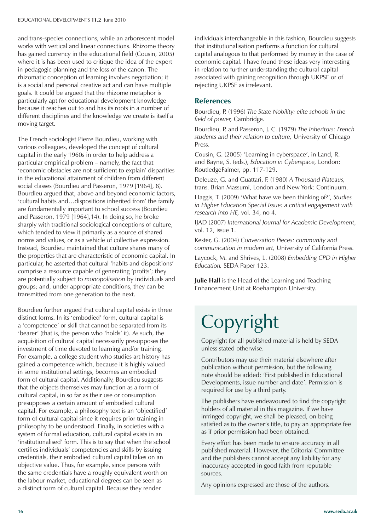and trans-species connections, while an arborescent model works with vertical and linear connections. Rhizome theory has gained currency in the educational field (Cousin, 2005) where it is has been used to critique the idea of the expert in pedagogic planning and the loss of the canon. The rhizomatic conception of learning involves negotiation; it is a social and personal creative act and can have multiple goals. It could be argued that the rhizome metaphor is particularly apt for educational development knowledge because it reaches out to and has its roots in a number of different disciplines and the knowledge we create is itself a moving target.

The French sociologist Pierre Bourdieu, working with various colleagues, developed the concept of cultural capital in the early 1960s in order to help address a particular empirical problem – namely, the fact that 'economic obstacles are not sufficient to explain' disparities in the educational attainment of children from different social classes (Bourdieu and Passeron, 1979 [1964], 8). Bourdieu argued that, above and beyond economic factors, 'cultural habits and…dispositions inherited from' the family are fundamentally important to school success (Bourdieu and Passeron, 1979 [1964],14). In doing so, he broke sharply with traditional sociological conceptions of culture, which tended to view it primarily as a source of shared norms and values, or as a vehicle of collective expression. Instead, Bourdieu maintained that culture shares many of the properties that are characteristic of economic capital. In particular, he asserted that cultural 'habits and dispositions' comprise a resource capable of generating 'profits'; they are potentially subject to *monopolisation* by individuals and groups; and, under appropriate conditions, they can be transmitted from one generation to the next.

Bourdieu further argued that cultural capital exists in three distinct forms. In its 'embodied' form, cultural capital is a 'competence' or skill that cannot be separated from its 'bearer' (that is, the person who 'holds' it). As such, the acquisition of cultural capital necessarily presupposes the investment of time devoted to learning and/or training. For example, a college student who studies art history has gained a competence which, because it is highly valued in some institutional settings, becomes an embodied form of cultural capital. Additionally, Bourdieu suggests that the objects themselves may function as a form of cultural capital, in so far as their use or consumption presupposes a certain amount of embodied cultural capital. For example, a philosophy text is an 'objectified' form of cultural capital since it requires prior training in philosophy to be understood. Finally, in societies with a system of formal education, cultural capital exists in an 'institutionalised' form. This is to say that when the school certifies individuals' competencies and skills by issuing credentials, their embodied cultural capital takes on an objective value. Thus, for example, since persons with the same credentials have a roughly equivalent worth on the labour market, educational degrees can be seen as a distinct form of cultural capital. Because they render

individuals interchangeable in this fashion, Bourdieu suggests that institutionalisation performs a function for cultural capital analogous to that performed by money in the case of economic capital. I have found these ideas very interesting in relation to further understanding the cultural capital associated with gaining recognition through UKPSF or of rejecting UKPSF as irrelevant.

#### **References**

Bourdieu, P. (1996) *The State Nobility: elite schools in the field of power,* Cambridge.

Bourdieu, P. and Passeron, J. C. (1979) *The Inheritors: French students and their relation to culture,* University of Chicago Press.

Cousin, G. (2005) 'Learning in cyberspace', in Land, R. and Bayne, S. (eds.), *Education in Cyberspace,* London: RoutledgeFalmer, pp. 117-129.

Deleuze, G. and Guattari, F. (1980) *A Thousand Plateaus,* trans. Brian Massumi, London and New York: Continuum.

Haggis, T. (2009) 'What have we been thinking of?', *Studies in Higher Education Special Issue: a critical engagement with research into HE,* vol. 34, no 4.

IJAD (2007) *International Journal for Academic Development*, vol. 12, issue 1.

Kester, G. (2004) *Conversation Pieces: community and communication in modern art,* University of California Press.

Laycock, M. and Shrives, L. (2008) *Embedding CPD in Higher Education,* SEDA Paper 123.

**Julie Hall** is the Head of the Learning and Teaching Enhancement Unit at Roehampton University.

# Copyright

Copyright for all published material is held by SEDA unless stated otherwise.

Contributors may use their material elsewhere after publication without permission, but the following note should be added: 'First published in Educational Developments, issue number and date'. Permission is required for use by a third party.

The publishers have endeavoured to find the copyright holders of all material in this magazine. If we have infringed copyright, we shall be pleased, on being satisfied as to the owner's title, to pay an appropriate fee as if prior permission had been obtained.

Every effort has been made to ensure accuracy in all published material. However, the Editorial Committee and the publishers cannot accept any liability for any inaccuracy accepted in good faith from reputable sources.

Any opinions expressed are those of the authors.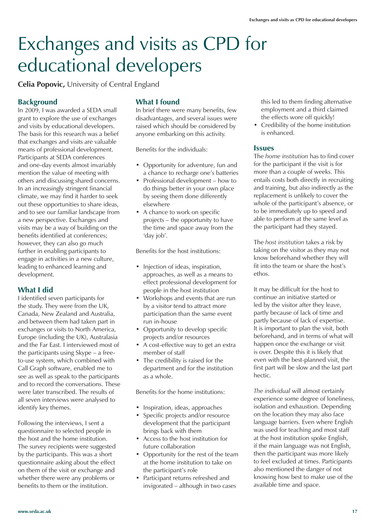## Exchanges and visits as CPD for educational developers

**Celia Popovic,** University of Central England

#### **Background**

In 2009, I was awarded a SEDA small grant to explore the use of exchanges and visits by educational developers. The basis for this research was a belief that exchanges and visits are valuable means of professional development. Participants at SEDA conferences and one-day events almost invariably mention the value of meeting with others and discussing shared concerns. In an increasingly stringent financial climate, we may find it harder to seek out these opportunities to share ideas, and to see our familiar landscape from a new perspective. Exchanges and visits may be a way of building on the benefits identified at conferences; however, they can also go much further in enabling participants to engage in activities in a new culture, leading to enhanced learning and development.

#### **What I did**

I identified seven participants for the study. They were from the UK, Canada, New Zealand and Australia, and between them had taken part in exchanges or visits to North America, Europe (including the UK), Australasia and the Far East. I interviewed most of the participants using Skype – a freeto-use system, which combined with Call Graph software, enabled me to see as well as speak to the participants and to record the conversations. These were later transcribed. The results of all seven interviews were analysed to identify key themes.

Following the interviews, I sent a questionnaire to selected people in the host and the home institution. The survey recipients were suggested by the participants. This was a short questionnaire asking about the effect on them of the visit or exchange and whether there were any problems or benefits to them or the institution.

#### **What I found**

In brief there were many benefits, few disadvantages, and several issues were raised which should be considered by anyone embarking on this activity.

Benefits for the individuals:

- Opportunity for adventure, fun and a chance to recharge one's batteries
- Professional development how to do things better in your own place by seeing them done differently elsewhere
- A chance to work on specific projects – the opportunity to have the time and space away from the 'day job'.

Benefits for the host institutions:

- Injection of ideas, inspiration, approaches, as well as a means to effect professional development for people in the host institution
- Workshops and events that are run by a visitor tend to attract more participation than the same event run in-house
- Opportunity to develop specific projects and/or resources
- A cost-effective way to get an extra member of staff
- The credibility is raised for the department and for the institution as a whole.

Benefits for the home institutions:

- Inspiration, ideas, approaches
- Specific projects and/or resource development that the participant brings back with them
- Access to the host institution for future collaboration
- Opportunity for the rest of the team at the home institution to take on the participant's role
- Participant returns refreshed and invigorated – although in two cases

this led to them finding alternative employment and a third claimed the effects wore off quickly!

• Credibility of the home institution is enhanced.

#### **Issues**

The *home institution* has to find cover for the participant if the visit is for more than a couple of weeks. This entails costs both directly in recruiting and training, but also indirectly as the replacement is unlikely to cover the whole of the participant's absence, or to be immediately up to speed and able to perform at the same level as the participant had they stayed.

The *host institution* takes a risk by taking on the visitor as they may not know beforehand whether they will fit into the team or share the host's ethos.

It may be difficult for the host to continue an initiative started or led by the visitor after they leave, partly because of lack of time and partly because of lack of expertise. It is important to plan the visit, both beforehand, and in terms of what will happen once the exchange or visit is over. Despite this it is likely that even with the best-planned visit, the first part will be slow and the last part hectic.

*The individual* will almost certainly experience some degree of loneliness, isolation and exhaustion. Depending on the location they may also face language barriers. Even where English was used for teaching and most staff at the host institution spoke English, if the main language was not English, then the participant was more likely to feel excluded at times. Participants also mentioned the danger of not knowing how best to make use of the available time and space.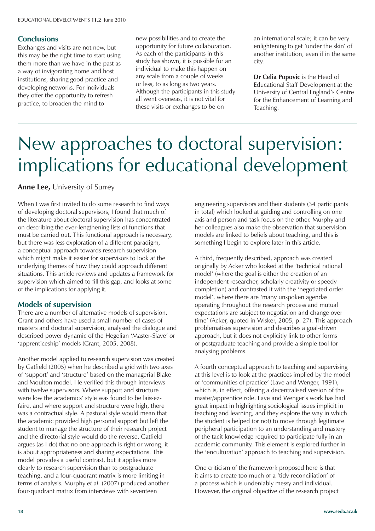#### **Conclusions**

Exchanges and visits are not new, but this may be the right time to start using them more than we have in the past as a way of invigorating home and host institutions, sharing good practice and developing networks. For individuals they offer the opportunity to refresh practice, to broaden the mind to

new possibilities and to create the opportunity for future collaboration. As each of the participants in this study has shown, it is possible for an individual to make this happen on any scale from a couple of weeks or less, to as long as two years. Although the participants in this study all went overseas, it is not vital for these visits or exchanges to be on

an international scale; it can be very enlightening to get 'under the skin' of another institution, even if in the same city.

**Dr Celia Popovic** is the Head of Educational Staff Development at the University of Central England's Centre for the Enhancement of Learning and Teaching.

### New approaches to doctoral supervision: implications for educational development

**Anne Lee,** University of Surrey

When I was first invited to do some research to find ways of developing doctoral supervisors, I found that much of the literature about doctoral supervision has concentrated on describing the ever-lengthening lists of functions that must be carried out. This functional approach is necessary, but there was less exploration of a different paradigm, a conceptual approach towards research supervision which might make it easier for supervisors to look at the underlying themes of how they could approach different situations. This article reviews and updates a framework for supervision which aimed to fill this gap, and looks at some of the implications for applying it.

#### **Models of supervision**

There are a number of alternative models of supervision. Grant and others have used a small number of cases of masters and doctoral supervision, analysed the dialogue and described power dynamic of the Hegelian 'Master-Slave' or 'apprenticeship' models (Grant, 2005, 2008).

Another model applied to research supervision was created by Gatfield (2005) when he described a grid with two axes of 'support' and 'structure' based on the managerial Blake and Moulton model. He verified this through interviews with twelve supervisors. Where support and structure were low the academics' style was found to be laissezfaire, and where support and structure were high, there was a contractual style. A pastoral style would mean that the academic provided high personal support but left the student to manage the structure of their research project and the directorial style would do the reverse. Gatfield argues (as I do) that no one approach is right or wrong, it is about appropriateness and sharing expectations. This model provides a useful contrast, but it applies more clearly to research supervision than to postgraduate teaching, and a four-quadrant matrix is more limiting in terms of analysis. Murphy *et al.* (2007) produced another four-quadrant matrix from interviews with seventeen

engineering supervisors and their students (34 participants in total) which looked at guiding and controlling on one axis and person and task focus on the other. Murphy and her colleagues also make the observation that supervision models are linked to beliefs about teaching, and this is something I begin to explore later in this article.

A third, frequently described, approach was created originally by Acker who looked at the 'technical rational model' (where the goal is either the creation of an independent researcher, scholarly creativity or speedy completion) and contrasted it with the 'negotiated order model', where there are 'many unspoken agendas operating throughout the research process and mutual expectations are subject to negotiation and change over time' (Acker, quoted in Wisker, 2005, p. 27). This approach problematises supervision and describes a goal-driven approach, but it does not explicitly link to other forms of postgraduate teaching and provide a simple tool for analysing problems.

A fourth conceptual approach to teaching and supervising at this level is to look at the practices implied by the model of 'communities of practice' (Lave and Wenger, 1991), which is, in effect, offering a decentralised version of the master/apprentice role. Lave and Wenger's work has had great impact in highlighting sociological issues implicit in teaching and learning, and they explore the way in which the student is helped (or not) to move through legitimate peripheral participation to an understanding and mastery of the tacit knowledge required to participate fully in an academic community. This element is explored further in the 'enculturation' approach to teaching and supervision.

One criticism of the framework proposed here is that it aims to create too much of a 'tidy reconciliation' of a process which is undeniably messy and individual. However, the original objective of the research project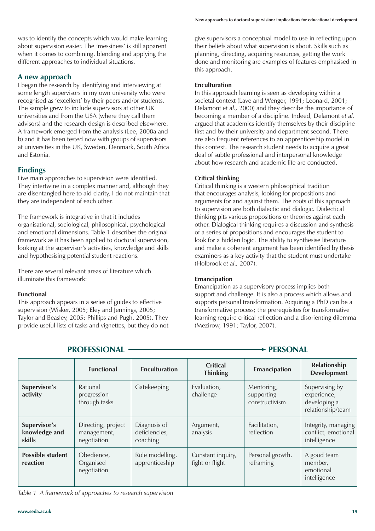was to identify the concepts which would make learning about supervision easier. The 'messiness' is still apparent when it comes to combining, blending and applying the different approaches to individual situations.

#### **A new approach**

I began the research by identifying and interviewing at some length supervisors in my own university who were recognised as 'excellent' by their peers and/or students. The sample grew to include supervisors at other UK universities and from the USA (where they call them advisors) and the research design is described elsewhere. A framework emerged from the analysis (Lee, 2008a and b) and it has been tested now with groups of supervisors at universities in the UK, Sweden, Denmark, South Africa and Estonia.

#### **Findings**

Five main approaches to supervision were identified. They intertwine in a complex manner and, although they are disentangled here to aid clarity, I do not maintain that they are independent of each other.

The framework is integrative in that it includes organisational, sociological, philosophical, psychological and emotional dimensions. Table 1 describes the original framework as it has been applied to doctoral supervision, looking at the supervisor's activities, knowledge and skills and hypothesising potential student reactions.

There are several relevant areas of literature which illuminate this framework:

#### **Functional**

This approach appears in a series of guides to effective supervision (Wisker, 2005; Eley and Jennings, 2005; Taylor and Beasley, 2005; Phillips and Pugh, 2005). They provide useful lists of tasks and vignettes, but they do not give supervisors a conceptual model to use in reflecting upon their beliefs about what supervision is about. Skills such as planning, directing, acquiring resources, getting the work done and monitoring are examples of features emphasised in this approach.

#### **Enculturation**

In this approach learning is seen as developing within a societal context (Lave and Wenger, 1991; Leonard, 2001; Delamont *et al.,* 2000) and they describe the importance of becoming a member of a discipline. Indeed, Delamont *et al.* argued that academics identify themselves by their discipline first and by their university and department second. There are also frequent references to an apprenticeship model in this context. The research student needs to acquire a great deal of subtle professional and interpersonal knowledge about how research and academic life are conducted.

#### **Critical thinking**

Critical thinking is a western philosophical tradition that encourages analysis, looking for propositions and arguments for and against them. The roots of this approach to supervision are both dialectic and dialogic. Dialectical thinking pits various propositions or theories against each other. Dialogical thinking requires a discussion and synthesis of a series of propositions and encourages the student to look for a hidden logic. The ability to synthesise literature and make a coherent argument has been identified by thesis examiners as a key activity that the student must undertake (Holbrook *et al.,* 2007).

#### **Emancipation**

Emancipation as a supervisory process implies both support and challenge. It is also a process which allows and supports personal transformation. Acquiring a PhD can be a transformative process; the prerequisites for transformative learning require critical reflection and a disorienting dilemma (Mezirow, 1991; Taylor, 2007).

#### **PROFESSIONAL CONSUMING CONSUMING PROFESSIONAL**

|                                         | <b>Functional</b>                                | <b>Enculturation</b>                      | <b>Critical</b><br><b>Thinking</b>   | Emancipation                               | Relationship<br><b>Development</b>                                 |
|-----------------------------------------|--------------------------------------------------|-------------------------------------------|--------------------------------------|--------------------------------------------|--------------------------------------------------------------------|
| Supervisor's<br>activity                | Rational<br>progression<br>through tasks         | Gatekeeping                               | Evaluation,<br>challenge             | Mentoring,<br>supporting<br>constructivism | Supervising by<br>experience,<br>developing a<br>relationship/team |
| Supervisor's<br>knowledge and<br>skills | Directing, project<br>management,<br>negotiation | Diagnosis of<br>deficiencies,<br>coaching | Argument,<br>analysis                | Facilitation,<br>reflection                | Integrity, managing<br>conflict, emotional<br>intelligence         |
| <b>Possible student</b><br>reaction     | Obedience,<br>Organised<br>negotiation           | Role modelling,<br>apprenticeship         | Constant inquiry,<br>fight or flight | Personal growth,<br>reframing              | A good team<br>member,<br>emotional<br>intelligence                |

*Table 1 A framework of approaches to research supervision*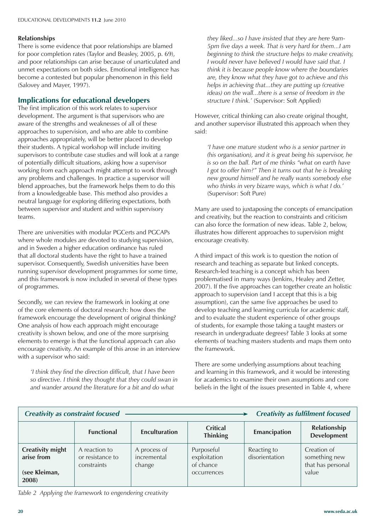#### **Relationships**

There is some evidence that poor relationships are blamed for poor completion rates (Taylor and Beasley, 2005, p. 69), and poor relationships can arise because of unarticulated and unmet expectations on both sides. Emotional intelligence has become a contested but popular phenomenon in this field (Salovey and Mayer, 1997).

#### **Implications for educational developers**

The first implication of this work relates to supervisor development. The argument is that supervisors who are aware of the strengths and weaknesses of all of these approaches to supervision, and who are able to combine approaches appropriately, will be better placed to develop their students. A typical workshop will include inviting supervisors to contribute case studies and will look at a range of potentially difficult situations, asking how a supervisor working from each approach might attempt to work through any problems and challenges. In practice a supervisor will blend approaches, but the framework helps them to do this from a knowledgeable base. This method also provides a neutral language for exploring differing expectations, both between supervisor and student and within supervisory teams.

There are universities with modular PGCerts and PGCAPs where whole modules are devoted to studying supervision, and in Sweden a higher education ordinance has ruled that all doctoral students have the right to have a trained supervisor. Consequently, Swedish universities have been running supervisor development programmes for some time, and this framework is now included in several of these types of programmes.

Secondly, we can review the framework in looking at one of the core elements of doctoral research: how does the framework encourage the development of original thinking? One analysis of how each approach might encourage creativity is shown below, and one of the more surprising elements to emerge is that the functional approach can also encourage creativity. An example of this arose in an interview with a supervisor who said:

 *'I think they find the direction difficult, that I have been so directive. I think they thought that they could swan in and wander around the literature for a bit and do what* 

*they liked...so I have insisted that they are here 9am-5pm five days a week. That is very hard for them...I am beginning to think the structure helps to make creativity, I would never have believed I would have said that. I think it is because people know where the boundaries are, they know what they have got to achieve and this helps in achieving that...they are putting up (creative ideas) on the wall...there is a sense of freedom in the structure I think.'* (Supervisor: Soft Applied)

However, critical thinking can also create original thought, and another supervisor illustrated this approach when they said:

 *'I have one mature student who is a senior partner in (his organisation), and it is great being his supervisor, he is so on the ball. Part of me thinks "what on earth have I got to offer him?" Then it turns out that he is breaking new ground himself and he really wants somebody else who thinks in very bizarre ways, which is what I do.'* (Supervisor: Soft Pure)

Many are used to juxtaposing the concepts of emancipation and creativity, but the reaction to constraints and criticism can also force the formation of new ideas. Table 2, below, illustrates how different approaches to supervision might encourage creativity.

A third impact of this work is to question the notion of research and teaching as separate but linked concepts. Research-led teaching is a concept which has been problematised in many ways (Jenkins, Healey and Zetter, 2007). If the five approaches can together create an holistic approach to supervision (and I accept that this is a big assumption), can the same five approaches be used to develop teaching and learning curricula for academic staff, and to evaluate the student experience of other groups of students, for example those taking a taught masters or research in undergraduate degrees? Table 3 looks at some elements of teaching masters students and maps them onto the framework.

There are some underlying assumptions about teaching and learning in this framework, and it would be interesting for academics to examine their own assumptions and core beliefs in the light of the issues presented in Table 4, where

| <b>Creativity as constraint focused</b><br><b>Creativity as fulfilment focused</b> |                                                  |                                       |                                                        |                               |                                                            |
|------------------------------------------------------------------------------------|--------------------------------------------------|---------------------------------------|--------------------------------------------------------|-------------------------------|------------------------------------------------------------|
|                                                                                    | <b>Functional</b>                                | <b>Enculturation</b>                  | <b>Critical</b><br><b>Thinking</b>                     | <b>Emancipation</b>           | Relationship<br><b>Development</b>                         |
| <b>Creativity might</b><br>arise from<br>(see Kleiman,<br>2008)                    | A reaction to<br>or resistance to<br>constraints | A process of<br>incremental<br>change | Purposeful<br>exploitation<br>of chance<br>occurrences | Reacting to<br>disorientation | Creation of<br>something new<br>that has personal<br>value |

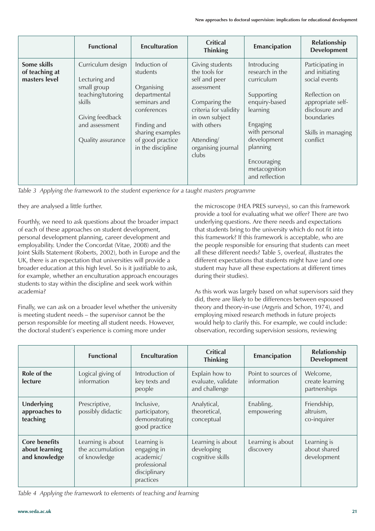|                                                | <b>Functional</b>                                                                                                                          | <b>Enculturation</b>                                                                                                                                              | <b>Critical</b><br><b>Thinking</b>                                                                                                                                                             | Emancipation                                                                                                                                                                                      | Relationship<br><b>Development</b>                                                                                                                          |
|------------------------------------------------|--------------------------------------------------------------------------------------------------------------------------------------------|-------------------------------------------------------------------------------------------------------------------------------------------------------------------|------------------------------------------------------------------------------------------------------------------------------------------------------------------------------------------------|---------------------------------------------------------------------------------------------------------------------------------------------------------------------------------------------------|-------------------------------------------------------------------------------------------------------------------------------------------------------------|
| Some skills<br>of teaching at<br>masters level | Curriculum design<br>Lecturing and<br>small group<br>teaching/tutoring<br>skills<br>Giving feedback<br>and assessment<br>Quality assurance | Induction of<br>students<br>Organising<br>departmental<br>seminars and<br>conferences<br>Finding and<br>sharing examples<br>of good practice<br>in the discipline | <b>Giving students</b><br>the tools for<br>self and peer<br>assessment<br>Comparing the<br>criteria for validity<br>in own subject<br>with others<br>Attending/<br>organising journal<br>clubs | Introducing<br>research in the<br>curriculum<br>Supporting<br>enquiry-based<br>learning<br>Engaging<br>with personal<br>development<br>planning<br>Encouraging<br>metacognition<br>and reflection | Participating in<br>and initiating<br>social events<br>Reflection on<br>appropriate self-<br>disclosure and<br>boundaries<br>Skills in managing<br>conflict |

*Table 3 Applying the framework to the student experience for a taught masters programme*

they are analysed a little further.

Fourthly, we need to ask questions about the broader impact of each of these approaches on student development, personal development planning, career development and employability. Under the Concordat (Vitae, 2008) and the Joint Skills Statement (Roberts, 2002), both in Europe and the UK, there is an expectation that universities will provide a broader education at this high level. So is it justifiable to ask, for example, whether an enculturation approach encourages students to stay within the discipline and seek work within academia?

Finally, we can ask on a broader level whether the university is meeting student needs – the supervisor cannot be the person responsible for meeting all student needs. However, the doctoral student's experience is coming more under

the microscope (HEA PRES surveys), so can this framework provide a tool for evaluating what we offer? There are two underlying questions. Are there needs and expectations that students bring to the university which do not fit into this framework? If this framework is acceptable, who are the people responsible for ensuring that students can meet all these different needs? Table 5, overleaf, illustrates the different expectations that students might have (and one student may have all these expectations at different times during their studies).

As this work was largely based on what supervisors said they did, there are likely to be differences between espoused theory and theory-in-use (Argyris and Schon, 1974), and employing mixed research methods in future projects would help to clarify this. For example, we could include: observation, recording supervision sessions, reviewing

|                                                         | <b>Functional</b>                                     | <b>Enculturation</b>                                                                 | <b>Critical</b><br><b>Thinking</b>                    | Emancipation                       | Relationship<br><b>Development</b>          |
|---------------------------------------------------------|-------------------------------------------------------|--------------------------------------------------------------------------------------|-------------------------------------------------------|------------------------------------|---------------------------------------------|
| Role of the<br>lecture                                  | Logical giving of<br>information                      | Introduction of<br>key texts and<br>people                                           | Explain how to<br>evaluate, validate<br>and challenge | Point to sources of<br>information | Welcome,<br>create learning<br>partnerships |
| <b>Underlying</b><br>approaches to<br>teaching          | Prescriptive,<br>possibly didactic                    | Inclusive,<br>participatory,<br>demonstrating<br>good practice                       | Analytical,<br>theoretical,<br>conceptual             | Enabling,<br>empowering            | Friendship,<br>altruism,<br>co-inquirer     |
| <b>Core benefits</b><br>about learning<br>and knowledge | Learning is about<br>the accumulation<br>of knowledge | Learning is<br>engaging in<br>academic/<br>professional<br>disciplinary<br>practices | Learning is about<br>developing<br>cognitive skills   | Learning is about<br>discovery     | Learning is<br>about shared<br>development  |

*Table 4 Applying the framework to elements of teaching and learning*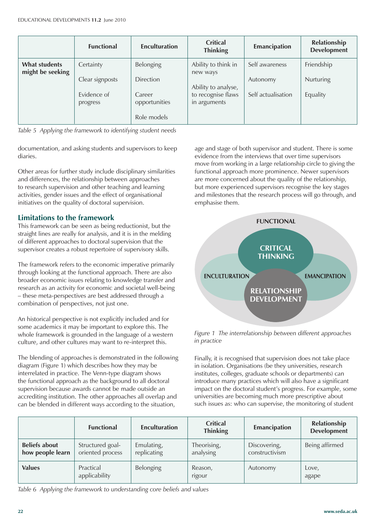|                                          | <b>Functional</b>       | <b>Enculturation</b>    | <b>Critical</b><br><b>Thinking</b> | Emancipation       | Relationship<br><b>Development</b> |
|------------------------------------------|-------------------------|-------------------------|------------------------------------|--------------------|------------------------------------|
| <b>What students</b><br>might be seeking | Certainty               | Belonging               | Ability to think in<br>new ways    | Self awareness     | Friendship                         |
|                                          | Clear signposts         | <b>Direction</b>        | Ability to analyse,                | Autonomy           | <b>Nurturing</b>                   |
|                                          | Evidence of<br>progress | Career<br>opportunities | to recognise flaws<br>in arguments | Self actualisation | Equality                           |
|                                          |                         | Role models             |                                    |                    |                                    |

*Table 5 Applying the framework to identifying student needs*

documentation, and asking students and supervisors to keep diaries.

Other areas for further study include disciplinary similarities and differences, the relationship between approaches to research supervision and other teaching and learning activities, gender issues and the effect of organisational initiatives on the quality of doctoral supervision.

#### **Limitations to the framework**

This framework can be seen as being reductionist, but the straight lines are really for analysis, and it is in the melding of different approaches to doctoral supervision that the supervisor creates a robust repertoire of supervisory skills.

The framework refers to the economic imperative primarily through looking at the functional approach. There are also broader economic issues relating to knowledge transfer and research as an activity for economic and societal well-being – these meta-perspectives are best addressed through a combination of perspectives, not just one.

An historical perspective is not explicitly included and for some academics it may be important to explore this. The whole framework is grounded in the language of a western culture, and other cultures may want to re-interpret this.

The blending of approaches is demonstrated in the following diagram (Figure 1) which describes how they may be interrelated in practice. The Venn-type diagram shows the functional approach as the background to all doctoral supervision because awards cannot be made outside an accrediting institution. The other approaches all overlap and can be blended in different ways according to the situation,

age and stage of both supervisor and student. There is some evidence from the interviews that over time supervisors move from working in a large relationship circle to giving the functional approach more prominence. Newer supervisors are more concerned about the quality of the relationship, but more experienced supervisors recognise the key stages and milestones that the research process will go through, and emphasise them.



*Figure 1 The interrelationship between different approaches in practice*

Finally, it is recognised that supervision does not take place in isolation. Organisations (be they universities, research institutes, colleges, graduate schools or departments) can introduce many practices which will also have a significant impact on the doctoral student's progress. For example, some universities are becoming much more prescriptive about such issues as: who can supervise, the monitoring of student

|                                          | <b>Functional</b>                    | <b>Enculturation</b>      | <b>Critical</b><br><b>Thinking</b> | <b>Emancipation</b>            | Relationship<br><b>Development</b> |
|------------------------------------------|--------------------------------------|---------------------------|------------------------------------|--------------------------------|------------------------------------|
| <b>Beliefs about</b><br>how people learn | Structured goal-<br>oriented process | Emulating,<br>replicating | Theorising,<br>analysing           | Discovering,<br>constructivism | Being affirmed                     |
| <b>Values</b>                            | Practical<br>applicability           | <b>Belonging</b>          | Reason,<br>rigour                  | Autonomy                       | Love,<br>agape                     |

*Table 6 Applying the framework to understanding core beliefs and values*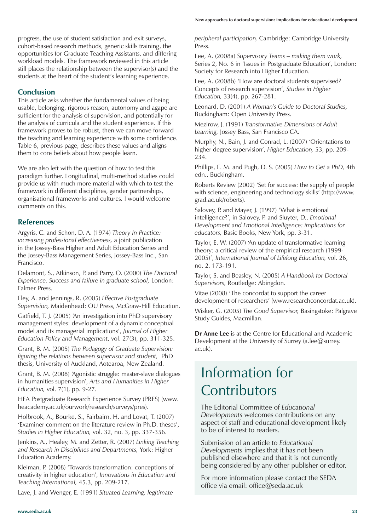progress, the use of student satisfaction and exit surveys, cohort-based research methods, generic skills training, the opportunities for Graduate Teaching Assistants, and differing workload models. The framework reviewed in this article still places the relationship between the supervisor(s) and the students at the heart of the student's learning experience.

#### **Conclusion**

This article asks whether the fundamental values of being usable, belonging, rigorous reason, autonomy and agape are sufficient for the analysis of supervision, and potentially for the analysis of curricula and the student experience. If this framework proves to be robust, then we can move forward the teaching and learning experience with some confidence. Table 6, previous page, describes these values and aligns them to core beliefs about how people learn.

We are also left with the question of how to test this paradigm further. Longitudinal, multi-method studies could provide us with much more material with which to test the framework in different disciplines, gender partnerships, organisational frameworks and cultures. I would welcome comments on this.

#### **References**

Argyris, C. and Schon, D. A. (1974) *Theory In Practice: increasing professional effectiveness,* a joint publication in the Jossey-Bass Higher and Adult Education Series and the Jossey-Bass Management Series, Jossey-Bass Inc., San Francisco.

Delamont, S., Atkinson, P. and Parry, O. (2000) *The Doctoral Experience. Success and failure in graduate school,* London: Falmer Press.

Eley, A. and Jennings, R. (2005) *Effective Postgraduate Supervision,* Maidenhead: OU Press, McGraw-Hill Education.

Gatfield, T. J. (2005) 'An investigation into PhD supervisory management styles: development of a dynamic conceptual model and its managerial implications', *Journal of Higher Education Policy and Management*, vol. 27(3), pp. 311-325.

Grant, B. M. (2005) *The Pedagogy of Graduate Supervision: figuring the relations between supervisor and student,* PhD thesis, University of Auckland, Aotearoa, New Zealand.

Grant, B. M. (2008) 'Agonistic struggle: master-slave dialogues in humanities supervision', *Arts and Humanities in Higher Education,* vol. 7(1), pp. 9-27.

HEA Postgraduate Research Experience Survey (PRES) (www. heacademy.ac.uk/ourwork/research/surveys/pres).

Holbrook, A., Bourke, S., Fairbairn, H. and Lovat, T. (2007) 'Examiner comment on the literature review in Ph.D. theses', *Studies in Higher Education,* vol. 32, no. 3, pp. 337-356.

Jenkins, A., Healey, M. and Zetter, R. (2007) *Linking Teaching and Research in Disciplines and Departments,* York: Higher Education Academy.

Kleiman, P. (2008) 'Towards transformation: conceptions of creativity in higher education', *Innovations in Education and Teaching International,* 45.3, pp. 209-217.

Lave, J. and Wenger, E. (1991) *Situated Learning: legitimate* 

*peripheral participation,* Cambridge: Cambridge University Press.

Lee, A. (2008a) *Supervisory Teams – making them work,* Series 2, No. 6 in 'Issues in Postgraduate Education', London: Society for Research into Higher Education.

Lee, A. (2008b) 'How are doctoral students supervised? Concepts of research supervision', *Studies in Higher Education,* 33(4), pp. 267-281.

Leonard, D. (2001) *A Woman's Guide to Doctoral Studies,* Buckingham: Open University Press.

Mezirow, J. (1991) *Transformative Dimensions of Adult Learning,* Jossey Bass, San Francisco CA.

Murphy, N., Bain, J. and Conrad, L. (2007) 'Orientations to higher degree supervision', *Higher Education,* 53, pp. 209- 234.

Phillips, E. M. and Pugh, D. S. (2005) *How to Get a PhD,* 4th edn., Buckingham.

Roberts Review (2002) 'Set for success: the supply of people with science, engineering and technology skills' (http://www. grad.ac.uk/roberts).

Salovey, P. and Mayer, J. (1997) 'What is emotional intelligence?', in Salovey, P. and Sluyter, D., *Emotional Development and Emotional Intelligence: implications for educators,* Basic Books, New York, pp. 3-31.

Taylor, E. W. (2007) 'An update of transformative learning theory: a critical review of the empirical research (1999- 2005)', *International Journal of Lifelong Education,* vol. 26, no. 2, 173-191.

Taylor, S. and Beasley, N. (2005) *A Handbook for Doctoral Supervisors,* Routledge: Abingdon.

Vitae (2008) 'The concordat to support the career development of researchers' (www.researchconcordat.ac.uk).

Wisker, G. (2005) *The Good Supervisor,* Basingstoke: Palgrave Study Guides, Macmillan.

**Dr Anne Lee** is at the Centre for Educational and Academic Development at the University of Surrey (a.lee@surrey. ac.uk).

### Information for **Contributors**

The Editorial Committee of *Educational Developments* welcomes contributions on any aspect of staff and educational development likely to be of interest to readers.

Submission of an article to *Educational Developments* implies that it has not been published elsewhere and that it is not currently being considered by any other publisher or editor.

For more information please contact the SEDA office via email: office@seda.ac.uk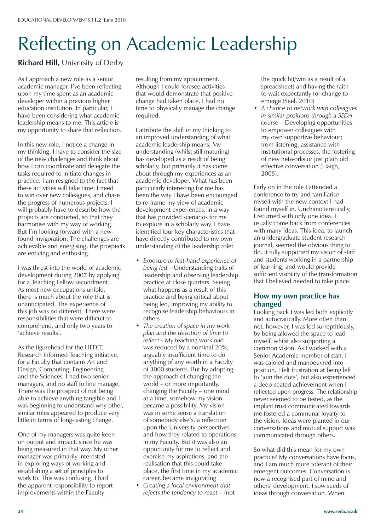# Reflecting on Academic Leadership

#### **Richard Hill,** University of Derby

As I approach a new role as a senior academic manager, I've been reflecting upon my time spent as an academic developer within a previous higher education institution. In particular, I have been considering what academic leadership means to me. This article is my opportunity to share that reflection.

In this new role, I notice a change in my thinking. I have to consider the size of the new challenges and think about how I can coordinate and delegate the tasks required to initiate changes in practice. I am resigned to the fact that these activities will take time. I need to win over new colleagues, and chase the progress of numerous projects. I will probably have to describe how the projects are conducted, so that they harmonise with my way of working. But I'm looking forward with a newfound invigoration. The challenges are achievable and energising, the prospects are enticing and enthusing.

I was thrust into the world of academic development during 2007 by applying for a Teaching Fellow secondment. As most new occupations unfold, there is much about the role that is unanticipated. The experience of this job was no different. There were responsibilities that were difficult to comprehend, and only two years to 'achieve results'.

As the figurehead for the HEFCE Research Informed Teaching initiative, for a Faculty that contains Art and Design, Computing, Engineering and the Sciences, I had two senior managers, and no staff to line manage. There was the prospect of not being able to achieve anything tangible and I was beginning to understand why other, similar roles appeared to produce very little in terms of long-lasting change.

One of my managers was quite keen on output and impact, since he was being measured in that way. My other manager was primarily interested in exploring ways of working and establishing a set of principles to work to. This was confusing. I had the apparent responsibility to report improvements within the Faculty

resulting from my appointment. Although I could foresee activities that would demonstrate that positive change had taken place, I had no time to physically manage the change required.

I attribute the shift in my thinking to an improved understanding of what academic leadership means. My understanding (whilst still maturing) has developed as a result of being scholarly, but primarily it has come about through my experiences as an academic developer. What has been particularly interesting for me has been the way I have been encouraged to re-frame my view of academic development experiences, in a way that has provided scenarios for me to explore in a scholarly way. I have identified four key characteristics that have directly contributed to my own understanding of the leadership role:

- • *Exposure to first-hand experience of being led* – Understanding traits of leadership and observing leadership practice at close quarters. Seeing what happens as a result of this practice and being critical about being led, improving my ability to recognise leadership behaviours in others
- *The creation of space in my work plan and the devotion of time to reflect -* My teaching workload was reduced by a nominal 20%, arguably insufficient time to do anything of any worth in a Faculty of 3000 students. But by adopting the approach of changing the world – or more importantly, changing the Faculty – one mind at a time, somehow my vision became a possibility. My vision was in some sense a translation of somebody else's, a reflection upon the University perspectives and how they related to operations in my Faculty. But it was also an opportunity for me to reflect and exercise my aspirations, and the realisation that this could take place, the first time in my academic career, became invigorating
- *Creating a local environment that rejects the tendency to react* – (not

the quick hit/win as a result of a spreadsheet) and having the faith to wait expectantly for change to emerge (Seel, 2010)

• *A chance to network with colleagues in similar positions through a SEDA course* – Developing opportunities to empower colleagues with my own supportive behaviour; from listening, assistance with institutional processes, the fostering of new networks or just plain old effective conversation (Haigh, 2005).

Early on in the role I attended a conference to try and familiarise myself with the new context I had found myself in. Uncharacteristically, I returned with only one idea. I usually come back from conferences with many ideas. This idea, to launch an undergraduate student research journal, seemed the obvious thing to do. It fully supported my vision of staff and students working in a partnership of learning, and would provide sufficient visibility of the transformation that I believed needed to take place.

#### **How my own practice has changed**

Looking back I was led both explicitly and autocratically. More often than not, however, I was led surreptitiously, by being allowed the space to lead myself, whilst also supporting a common vision. As I worked with a Senior Academic member of staff, I was cajoled and manoeuvred into position. I felt frustration at being left to 'join the dots', but also experienced a deep-seated achievement when I reflected upon progress. The relationship never seemed to be tested, as the implicit trust communicated towards me fostered a communal loyalty to the vision. Ideas were planted in our conversations and mutual support was communicated through others.

So what did this mean for my own practice? My conversations have focus, and I am much more tolerant of their emergent outcomes. Conversation is now a recognised part of mine and others' development. I sow seeds of ideas through conversation. When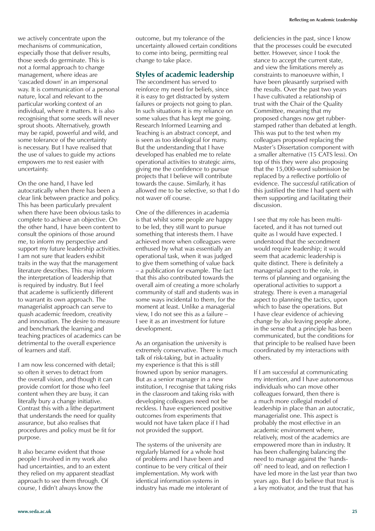we actively concentrate upon the mechanisms of communication, especially those that deliver results, those seeds do germinate. This is not a formal approach to change management, where ideas are 'cascaded down' in an impersonal way. It is communication of a personal nature, local and relevant to the particular working context of an individual, where it matters. It is also recognising that some seeds will never sprout shoots. Alternatively, growth may be rapid, powerful and wild, and some tolerance of the uncertainty is necessary. But I have realised that the use of values to guide my actions empowers me to rest easier with uncertainty.

On the one hand, I have led autocratically when there has been a clear link between practice and policy. This has been particularly prevalent when there have been obvious tasks to complete to achieve an objective. On the other hand, I have been content to consult the opinions of those around me, to inform my perspective and support my future leadership activities. I am not sure that leaders exhibit traits in the way that the management literature describes. This may inform the interpretation of leadership that is required by industry. But I feel that academe is sufficiently different to warrant its own approach. The managerialist approach can serve to quash academic freedom, creativity and innovation. The desire to measure and benchmark the learning and teaching practices of academics can be detrimental to the overall experience of learners and staff.

I am now less concerned with detail; so often it serves to detract from the overall vision, and though it can provide comfort for those who feel content when they are busy, it can literally bury a change initiative. Contrast this with a lithe department that understands the need for quality assurance, but also realises that procedures and policy must be fit for purpose.

It also became evident that those people I involved in my work also had uncertainties, and to an extent they relied on my apparent steadfast approach to see them through. Of course, I didn't always know the

outcome, but my tolerance of the uncertainty allowed certain conditions to come into being, permitting real change to take place.

#### **Styles of academic leadership**

The secondment has served to reinforce my need for beliefs, since it is easy to get distracted by system failures or projects not going to plan. In such situations it is my reliance on some values that has kept me going. Research Informed Learning and Teaching is an abstract concept, and is seen as too ideological for many. But the understanding that I have developed has enabled me to relate operational activities to strategic aims, giving me the confidence to pursue projects that I believe will contribute towards the cause. Similarly, it has allowed me to be selective, so that I do not waver off course.

One of the differences in academia is that whilst some people are happy to be led, they still want to pursue something that interests them. I have achieved more when colleagues were enthused by what was essentially an operational task, when it was judged to give them something of value back – a publication for example. The fact that this also contributed towards the overall aim of creating a more scholarly community of staff and students was in some ways incidental to them, for the moment at least. Unlike a managerial view, I do not see this as a failure – I see it as an investment for future development.

As an organisation the university is extremely conservative. There is much talk of risk-taking, but in actuality my experience is that this is still frowned upon by senior managers. But as a senior manager in a new institution, I recognise that taking risks in the classroom and taking risks with developing colleagues need not be reckless. I have experienced positive outcomes from experiments that would not have taken place if I had not provided the support.

The systems of the university are regularly blamed for a whole host of problems and I have been and continue to be very critical of their implementation. My work with identical information systems in industry has made me intolerant of

deficiencies in the past, since I know that the processes could be executed better. However, since I took the stance to accept the current state, and view the limitations merely as constraints to manoeuvre within, I have been pleasantly surprised with the results. Over the past two years I have cultivated a relationship of trust with the Chair of the Quality Committee, meaning that my proposed changes now get rubberstamped rather than debated at length. This was put to the test when my colleagues proposed replacing the Master's Dissertation component with a smaller alternative (15 CATS less). On top of this they were also proposing that the 15,000-word submission be replaced by a reflective portfolio of evidence. The successful ratification of this justified the time I had spent with them supporting and facilitating their discussion.

I see that my role has been multifaceted, and it has not turned out quite as I would have expected. I understood that the secondment would require leadership; it would seem that academic leadership is quite distinct. There is definitely a managerial aspect to the role, in terms of planning and organising the operational activities to support a strategy. There is even a managerial aspect to planning the tactics, upon which to base the operations. But I have clear evidence of achieving change by also leaving people alone, in the sense that a principle has been communicated, but the conditions for that principle to be realised have been coordinated by my interactions with others.

If I am successful at communicating my intention, and I have autonomous individuals who can move other colleagues forward, then there is a much more collegial model of leadership in place than an autocratic, managerialist one. This aspect is probably the most effective in an academic environment where, relatively, most of the academics are empowered more than in industry. It has been challenging balancing the need to manage against the 'handsoff' need to lead, and on reflection I have led more in the last year than two years ago. But I do believe that trust is a key motivator, and the trust that has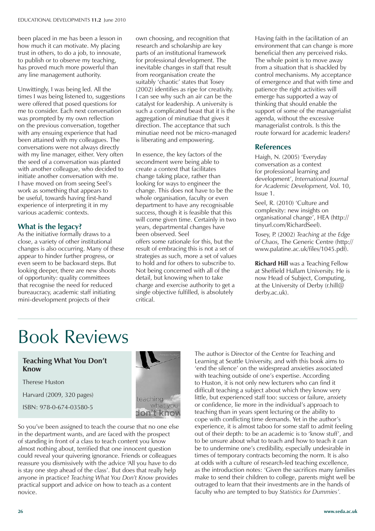been placed in me has been a lesson in how much it can motivate. My placing trust in others, to do a job, to innovate, to publish or to observe my teaching, has proved much more powerful than any line management authority.

Unwittingly, I was being led. All the times I was being listened to, suggestions were offered that posed questions for me to consider. Each next conversation was prompted by my own reflection on the previous conversation, together with any ensuing experience that had been attained with my colleagues. The conversations were not always directly with my line manager, either. Very often the seed of a conversation was planted with another colleague, who decided to initiate another conversation with me. I have moved on from seeing Seel's work as something that appears to be useful, towards having first-hand experience of interpreting it in my various academic contexts.

#### **What is the legacy?**

As the initiative formally draws to a close, a variety of other institutional changes is also occurring. Many of these appear to hinder further progress, or even seem to be backward steps. But looking deeper, there are new shoots of opportunity: quality committees that recognise the need for reduced bureaucracy, academic staff initiating mini-development projects of their

own choosing, and recognition that research and scholarship are key parts of an institutional framework for professional development. The inevitable changes in staff that result from reorganisation create the suitably 'chaotic' states that Tosey (2002) identifies as ripe for creativity. I can see why such an air can be the catalyst for leadership. A university is such a complicated beast that it is the aggregation of minutiae that gives it direction. The acceptance that such minutiae need not be micro-managed is liberating and empowering.

In essence, the key factors of the secondment were being able to create a context that facilitates change taking place, rather than looking for ways to engineer the change. This does not have to be the whole organisation, faculty or even department to have any recognisable success, though it is feasible that this will come given time. Certainly in two years, departmental changes have been observed. Seel offers some rationale for this, but the result of embracing this is not a set of strategies as such, more a set of values to hold and for others to subscribe to. Not being concerned with all of the detail, but knowing when to take charge and exercise authority to get a single objective fulfilled, is absolutely critical.

Having faith in the facilitation of an environment that can change is more beneficial then any perceived risks. The whole point is to move away from a situation that is shackled by control mechanisms. My acceptance of emergence and that with time and patience the right activities will emerge has supported a way of thinking that should enable the support of some of the managerialist agenda, without the excessive managerialist controls. Is this the route forward for academic leaders?

#### **References**

Haigh, N. (2005) 'Everyday conversation as a context for professional learning and development', *International Journal for Academic Development,* Vol. 10, Issue 1.

Seel, R. (2010) 'Culture and complexity: new insights on organisational change', HEA (http:// tinyurl.com/RichardSeel).

Tosey, P. (2002) *Teaching at the Edge of Chaos,* The Generic Centre (http:// www.palatine.ac.uk/files/1045.pdf).

**Richard Hill** was a Teaching Fellow at Sheffield Hallam University. He is now Head of Subject, Computing, at the University of Derby (r.hill@ derby.ac.uk).

### Book Reviews

#### **Teaching What You Don't Know**

Therese Huston

Harvard (2009, 320 pages)

ISBN: 978-0-674-03580-5



So you've been assigned to teach the course that no one else in the department wants, and are faced with the prospect of standing in front of a class to teach content you know almost nothing about, terrified that one innocent question could reveal your quivering ignorance. Friends or colleagues reassure you dismissively with the advice 'All you have to do is stay one step ahead of the class'. But does that really help anyone in practice? *Teaching What You Don't Know* provides practical support and advice on how to teach as a content novice.

The author is Director of the Centre for Teaching and Learning at Seattle University, and with this book aims to 'end the silence' on the widespread anxieties associated with teaching outside of one's expertise. According to Huston, it is not only new lecturers who can find it difficult teaching a subject about which they know very little, but experienced staff too: success or failure, anxiety or confidence, lie more in the individual's approach to teaching than in years spent lecturing or the ability to cope with conflicting time demands. Yet in the author's experience, it is almost taboo for some staff to admit feeling out of their depth: to be an academic is to 'know stuff', and to be unsure about what to teach and how to teach it can be to undermine one's credibility, especially undesirable in times of temporary contracts becoming the norm. It is also at odds with a culture of research-led teaching excellence, as the introduction notes: 'Given the sacrifices many families make to send their children to college, parents might well be outraged to learn that their investments are in the hands of faculty who are tempted to buy *Statistics for Dummies'.*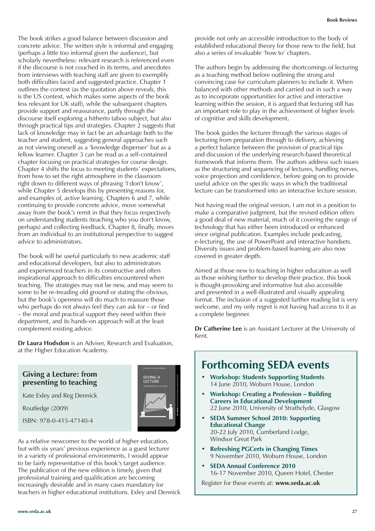The book strikes a good balance between discussion and concrete advice. The written style is informal and engaging (perhaps a little too informal given the audience), but scholarly nevertheless: relevant research is referenced even if the discourse is not couched in its terms, and anecdotes from interviews with teaching staff are given to exemplify both difficulties faced and suggested practice. Chapter 1 outlines the context (as the quotation above reveals, this is the US context, which makes some aspects of the book less relevant for UK staff), while the subsequent chapters provide support and reassurance, partly through the discourse itself exploring a hitherto taboo subject, but also through practical tips and strategies. Chapter 2 suggests that lack of knowledge may in fact be an advantage both to the teacher and student, suggesting general approaches such as not viewing oneself as a 'knowledge dispenser' but as a fellow learner. Chapter 3 can be read as a self-contained chapter focusing on practical strategies for course design. Chapter 4 shifts the focus to meeting students' expectations, from how to set the right atmosphere in the classroom right down to different ways of phrasing 'I don't know', while Chapter 5 develops this by presenting reasons for, and examples of, active learning. Chapters 6 and 7, while continuing to provide concrete advice, move somewhat away from the book's remit in that they focus respectively on understanding students (teaching who you don't know, perhaps) and collecting feedback. Chapter 8, finally, moves from an individual to an institutional perspective to suggest advice to administrators.

The book will be useful particularly to new academic staff and educational developers, but also to administrators and experienced teachers in its constructive and often inspirational approach to difficulties encountered when teaching. The strategies may not be new, and may seem to some to be re-treading old ground or stating the obvious, but the book's openness will do much to reassure those who perhaps do not always feel they can ask for – or find – the moral and practical support they need within their department, and its hands-on approach will at the least complement existing advice.

**Dr Laura Hodsdon** is an Adviser, Research and Evaluation, at the Higher Education Academy.

**SIVING** 

#### **Giving a Lecture: from presenting to teaching**

Kate Exley and Reg Dennick

Routledge (2009)

ISBN: 978-0-415-47140-4



provide not only an accessible introduction to the body of established educational theory for those new to the field, but also a series of invaluable 'how to' chapters.

The authors begin by addressing the shortcomings of lecturing as a teaching method before outlining the strong and convincing case for curriculum planners to include it. When balanced with other methods and carried out in such a way as to incorporate opportunities for active and interactive learning within the session, it is argued that lecturing still has an important role to play in the achievement of higher levels of cognitive and skills development.

The book guides the lecturer through the various stages of lecturing from preparation through to delivery, achieving a perfect balance between the provision of practical tips and discussion of the underlying research-based theoretical framework that informs them. The authors address such issues as the structuring and sequencing of lectures, handling nerves, voice projection and confidence, before going on to provide useful advice on the specific ways in which the traditional lecture can be transformed into an interactive lecture session.

Not having read the original version, I am not in a position to make a comparative judgment, but the revised edition offers a good deal of new material, much of it covering the range of technology that has either been introduced or enhanced since original publication. Examples include podcasting, e-lecturing, the use of PowerPoint and interactive handsets. Diversity issues and problem-based learning are also now covered in greater depth.

Aimed at those new to teaching in higher education as well as those wishing further to develop their practice, this book is thought-provoking and informative but also accessible and presented in a well-illustrated and visually appealing format. The inclusion of a suggested further reading list is very welcome, and my only regret is not having had access to it as a complete beginner.

**Dr Catherine Lee** is an Assistant Lecturer at the University of Kent.

### **Forthcoming SEDA events**

- **Workshop: Students Supporting Students** 14 June 2010, Woburn House, London
- **Workshop: Creating a Profession Building Careers in Educational Development** 22 June 2010, University of Strathclyde, Glasgow
- **SEDA Summer School 2010: Supporting Educational Change** 20-22 July 2010, Cumberland Lodge, Windsor Great Park
- **Refreshing PGCerts in Changing Times** 9 November 2010, Woburn House, London
- **SEDA Annual Conference 2010** 16-17 November 2010, Queen Hotel, Chester

Register for these events at: **www.seda.ac.uk**